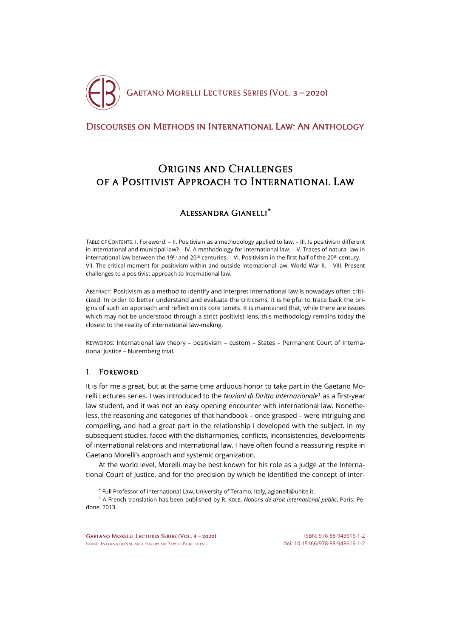

# [Discourses on Methods in International Law: An Anthology](http://crde.unitelmasapienza.it/en/publications/gmls-2020)

# ORIGINS AND CHALLENGES of a Positivist Approach to International Law

# Alessandra Gianelli**[\\*](#page-0-0)**

TABLE OF CONTENTS: I. Foreword. – II. Positivism as a methodology applied to law. – III. Is positivism different in international and municipal law? – IV. A methodology for International law. – V. Traces of natural law in international law between the 19<sup>th</sup> and 20<sup>th</sup> centuries. – VI. Positivism in the first half of the 20<sup>th</sup> century. – VII. The critical moment for positivism within and outside international law: World War II. – VIII. Present challenges to a positivist approach to International law.

ABSTRACT: Positivism as a method to identify and interpret International law is nowadays often criticized. In order to better understand and evaluate the criticisms, it is helpful to trace back the origins of such an approach and reflect on its core tenets. It is maintained that, while there are issues which may not be understood through a strict positivist lens, this methodology remains today the closest to the reality of international law-making.

KEYWORDS: International law theory – positivism – custom – States – Permanent Court of International Justice – Nuremberg trial.

# I. Foreword

It is for me a great, but at the same time arduous honor to take part in the Gaetano Morelli Lectures series. I was introduced to the *Nozioni di Diritto Internazionale*[1](#page-0-1) as a first-year law student, and it was not an easy opening encounter with international law. Nonetheless, the reasoning and categories of that handbook – once grasped – were intriguing and compelling, and had a great part in the relationship I developed with the subject. In my subsequent studies, faced with the disharmonies, conflicts, inconsistencies, developments of international relations and international law, I have often found a reassuring respite in Gaetano Morelli's approach and systemic organization.

At the world level, Morelli may be best known for his role as a judge at the International Court of Justice, and for the precision by which he identified the concept of inter-

\* Full Professor of International Law, University of Teramo, Italy[, agianelli@unite.it.](mailto:agianelli@unite.it)

<span id="page-0-1"></span><span id="page-0-0"></span><sup>1</sup> A French translation has been published by R. KOLB, *Notions de droit international public*, Paris: Pedone, 2013.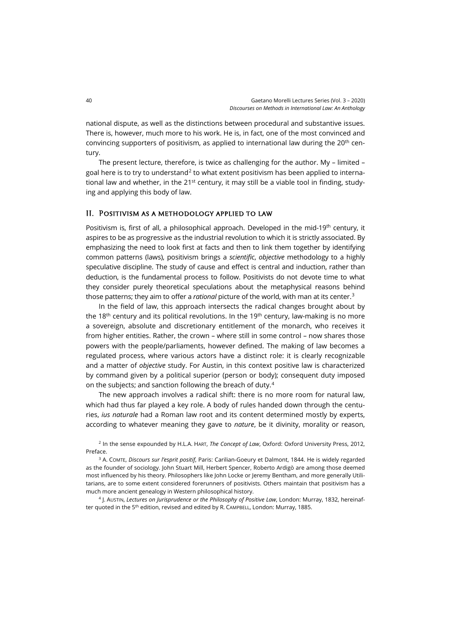national dispute, as well as the distinctions between procedural and substantive issues. There is, however, much more to his work. He is, in fact, one of the most convinced and convincing supporters of positivism, as applied to international law during the 20<sup>th</sup> century.

The present lecture, therefore, is twice as challenging for the author. My – limited – goal here is to try to understand<sup>[2](#page-1-0)</sup> to what extent positivism has been applied to international law and whether, in the  $21^{st}$  century, it may still be a viable tool in finding, studying and applying this body of law.

#### II. Positivism as a methodology applied to law

Positivism is, first of all, a philosophical approach. Developed in the mid-19<sup>th</sup> century, it aspires to be as progressive as the industrial revolution to which it is strictly associated. By emphasizing the need to look first at facts and then to link them together by identifying common patterns (laws), positivism brings a *scientific*, *objective* methodology to a highly speculative discipline. The study of cause and effect is central and induction, rather than deduction, is the fundamental process to follow. Positivists do not devote time to what they consider purely theoretical speculations about the metaphysical reasons behind those patterns; they aim to offer a *rational* picture of the world, with man at its center.[3](#page-1-1)

In the field of law, this approach intersects the radical changes brought about by the 18<sup>th</sup> century and its political revolutions. In the 19<sup>th</sup> century, law-making is no more a sovereign, absolute and discretionary entitlement of the monarch, who receives it from higher entities. Rather, the crown – where still in some control – now shares those powers with the people/parliaments, however defined. The making of law becomes a regulated process, where various actors have a distinct role: it is clearly recognizable and a matter of *objective* study. For Austin, in this context positive law is characterized by command given by a political superior (person or body); consequent duty imposed on the subjects; and sanction following the breach of duty.[4](#page-1-2)

The new approach involves a radical shift: there is no more room for natural law, which had thus far played a key role. A body of rules handed down through the centuries, *ius naturale* had a Roman law root and its content determined mostly by experts, according to whatever meaning they gave to *nature*, be it divinity, morality or reason,

<span id="page-1-0"></span><sup>2</sup> In the sense expounded by H.L.A. HART, *The Concept of Law*, Oxford: Oxford University Press, 2012, Preface.

<span id="page-1-1"></span><sup>3</sup> A. COMTE, *Discours sur l'esprit positif*, Paris: Carilian-Goeury et Dalmont, 1844. He is widely regarded as the founder of sociology. John Stuart Mill, Herbert Spencer, Roberto Ardigò are among those deemed most influenced by his theory. Philosophers like John Locke or Jeremy Bentham, and more generally Utilitarians, are to some extent considered forerunners of positivists. Others maintain that positivism has a much more ancient genealogy in Western philosophical history.

<span id="page-1-2"></span><sup>4</sup> J. AUSTIN, *Lectures on Jurisprudence or the Philosophy of Positive Law*, London: Murray, 1832, hereinafter quoted in the 5<sup>th</sup> edition, revised and edited by R. CAMPBELL, London: Murray, 1885.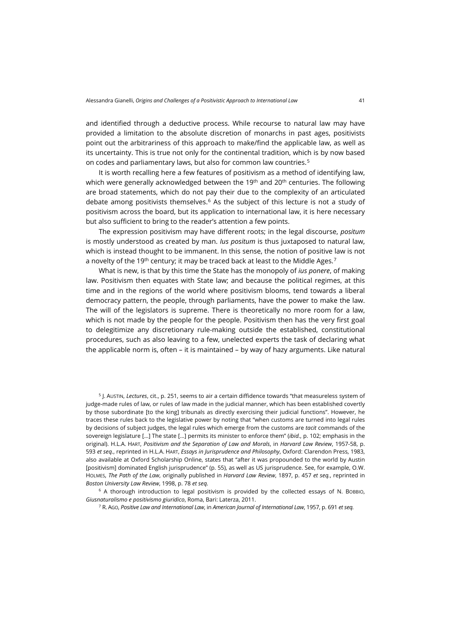and identified through a deductive process. While recourse to natural law may have provided a limitation to the absolute discretion of monarchs in past ages, positivists point out the arbitrariness of this approach to make/find the applicable law, as well as its uncertainty. This is true not only for the continental tradition, which is by now based on codes and parliamentary laws, but also for common law countries.[5](#page-2-0)

It is worth recalling here a few features of positivism as a method of identifying law, which were generally acknowledged between the  $19<sup>th</sup>$  and  $20<sup>th</sup>$  centuries. The following are broad statements, which do not pay their due to the complexity of an articulated debate among positivists themselves.<sup>[6](#page-2-1)</sup> As the subject of this lecture is not a study of positivism across the board, but its application to international law, it is here necessary but also sufficient to bring to the reader's attention a few points.

The expression positivism may have different roots; in the legal discourse, *positum* is mostly understood as created by man. *Ius positum* is thus juxtaposed to natural law, which is instead thought to be immanent. In this sense, the notion of positive law is not a novelty of the 19<sup>th</sup> century; it may be traced back at least to the Middle Ages.<sup>[7](#page-2-2)</sup>

What is new, is that by this time the State has the monopoly of *ius ponere*, of making law. Positivism then equates with State law; and because the political regimes, at this time and in the regions of the world where positivism blooms, tend towards a liberal democracy pattern, the people, through parliaments, have the power to make the law. The will of the legislators is supreme. There is theoretically no more room for a law, which is not made by the people for the people. Positivism then has the very first goal to delegitimize any discretionary rule-making outside the established, constitutional procedures, such as also leaving to a few, unelected experts the task of declaring what the applicable norm is, often – it is maintained – by way of hazy arguments. Like natural

<span id="page-2-0"></span><sup>5</sup> J. AUSTIN, *Lectures*, cit., p. 251, seems to air a certain diffidence towards "that measureless system of judge-made rules of law, or rules of law made in the judicial manner, which has been established covertly by those subordinate [to the king] tribunals as directly exercising their judicial functions". However, he traces these rules back to the legislative power by noting that "when customs are turned into legal rules by decisions of subject judges, the legal rules which emerge from the customs are *tacit* commands of the sovereign legislature […] The state […] permits its minister to enforce them" (*ibid.*, p. 102; emphasis in the original). H.L.A. HART, *Positivism and the Separation of Law and Morals*, in *Harvard Law Review*, 1957-58, p. 593 *et seq.*, reprinted in H.L.A. HART, *Essays in Jurisprudence and Philosophy*, Oxford: Clarendon Press, 1983, also available at Oxford Scholarship Online, states that "after it was propounded to the world by Austin [positivism] dominated English jurisprudence" (p. 55), as well as US jurisprudence. See, for example, O.W. HOLMES, *The Path of the Law*, originally published in *Harvard Law Review*, 1897, p. 457 *et seq.*, reprinted in *Boston University Law Review*, 1998, p. 78 *et seq.*

<span id="page-2-2"></span><span id="page-2-1"></span><sup>6</sup> A thorough introduction to legal positivism is provided by the collected essays of N. BOBBIO, *Giusnaturalismo e positivismo giuridico*, Roma, Bari: Laterza, 2011.

<sup>7</sup> R. AGO, *Positive Law and International Law*, in *American Journal of International Law*, 1957, p. 691 *et seq.*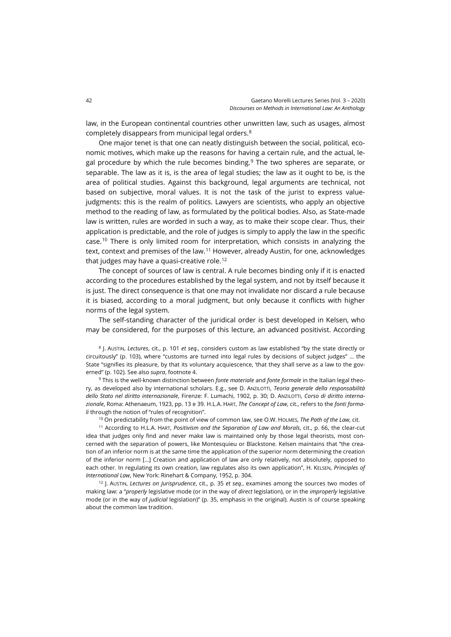law, in the European continental countries other unwritten law, such as usages, almost completely disappears from municipal legal orders.[8](#page-3-0)

One major tenet is that one can neatly distinguish between the social, political, economic motives, which make up the reasons for having a certain rule, and the actual, le-gal procedure by which the rule becomes binding.<sup>[9](#page-3-1)</sup> The two spheres are separate, or separable. The law as it is, is the area of legal studies; the law as it ought to be, is the area of political studies. Against this background, legal arguments are technical, not based on subjective, moral values. It is not the task of the jurist to express valuejudgments: this is the realm of politics. Lawyers are scientists, who apply an objective method to the reading of law, as formulated by the political bodies. Also, as State-made law is written, rules are worded in such a way, as to make their scope clear. Thus, their application is predictable, and the role of judges is simply to apply the law in the specific case.[10](#page-3-2) There is only limited room for interpretation, which consists in analyzing the text, context and premises of the law.<sup>[11](#page-3-3)</sup> However, already Austin, for one, acknowledges that judges may have a quasi-creative role.<sup>[12](#page-3-4)</sup>

The concept of sources of law is central. A rule becomes binding only if it is enacted according to the procedures established by the legal system, and not by itself because it is just. The direct consequence is that one may not invalidate nor discard a rule because it is biased, according to a moral judgment, but only because it conflicts with higher norms of the legal system.

The self-standing character of the juridical order is best developed in Kelsen, who may be considered, for the purposes of this lecture, an advanced positivist. According

<span id="page-3-0"></span><sup>8</sup> J. AUSTIN, *Lectures*, cit., p. 101 *et seq.*, considers custom as law established "by the state directly or circuitously" (p. 103), where "customs are turned into legal rules by decisions of subject judges" … the State "signifies its pleasure, by that its voluntary acquiescence, 'that they shall serve as a law to the governed" (p. 102). See also *supra*, footnote 4.

<span id="page-3-1"></span><sup>9</sup> This is the well-known distinction between *fonte materiale* and *fonte formale* in the Italian legal theory, as developed also by international scholars. E.g., see D. ANZILOTTI, *Teoria generale della responsabilità dello Stato nel diritto internazionale*, Firenze: F. Lumachi, 1902, p. 30; D. ANZILOTTI, *Corso di diritto internazionale*, Roma: Athenaeum, 1923, pp. 13 e 39. H.L.A. HART, *The Concept of Law*, cit., refers to the *fonti formali* through the notion of "rules of recognition".

<sup>10</sup> On predictability from the point of view of common law, see O.W. HOLMES, *The Path of the Law*, cit.

<span id="page-3-3"></span><span id="page-3-2"></span><sup>11</sup> According to H.L.A. HART, *Positivism and the Separation of Law and Morals*, cit., p. 66, the clear-cut idea that judges only find and never make law is maintained only by those legal theorists, most concerned with the separation of powers, like Montesquieu or Blackstone. Kelsen maintains that "the creation of an inferior norm is at the same time the application of the superior norm determining the creation of the inferior norm […] Creation and application of law are only relatively, not absolutely, opposed to each other. In regulating its own creation, law regulates also its own application", H. KELSEN, *Principles of International Law*, New York: Rinehart & Company, 1952, p. 304.

<span id="page-3-4"></span><sup>12</sup> J. AUSTIN, *Lectures on Jurisprudence*, cit., p. 35 *et seq.*, examines among the sources two modes of making law: a "*properly* legislative mode (or in the way of *direct* legislation), or in the *improperly* legislative mode (or in the way of *judicial* legislation)" (p. 35, emphasis in the original). Austin is of course speaking about the common law tradition.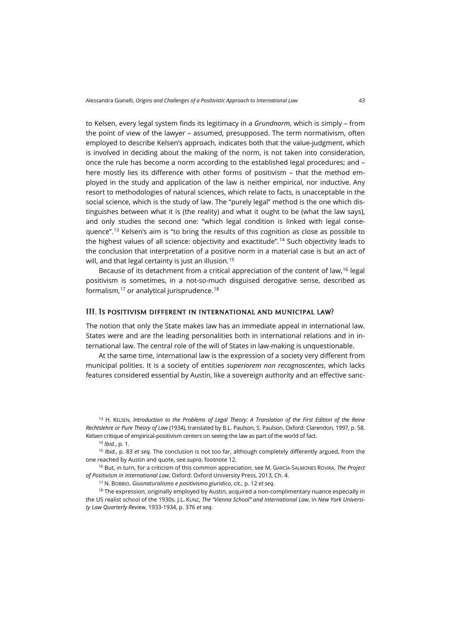to Kelsen, every legal system finds its legitimacy in a *Grundnorm*, which is simply – from the point of view of the lawyer – assumed, presupposed. The term normativism, often employed to describe Kelsen's approach, indicates both that the value-judgment, which is involved in deciding about the making of the norm, is not taken into consideration, once the rule has become a norm according to the established legal procedures; and – here mostly lies its difference with other forms of positivism – that the method employed in the study and application of the law is neither empirical, nor inductive. Any resort to methodologies of natural sciences, which relate to facts, is unacceptable in the social science, which is the study of law. The "purely legal" method is the one which distinguishes between what it is (the reality) and what it ought to be (what the law says), and only studies the second one: "which legal condition is linked with legal consequence".[13](#page-4-0) Kelsen's aim is "to bring the results of this cognition as close as possible to the highest values of all science: objectivity and exactitude".<sup>[14](#page-4-1)</sup> Such objectivity leads to the conclusion that interpretation of a positive norm in a material case is but an act of will, and that legal certainty is just an illusion.<sup>[15](#page-4-2)</sup>

Because of its detachment from a critical appreciation of the content of law,<sup>[16](#page-4-3)</sup> legal positivism is sometimes, in a not-so-much disguised derogative sense, described as formalism,[17](#page-4-4) or analytical jurisprudence.[18](#page-4-5)

#### III. Is positivism different in international and municipal law?

The notion that only the State makes law has an immediate appeal in international law. States were and are the leading personalities both in international relations and in international law. The central role of the will of States in law-making is unquestionable.

At the same time, international law is the expression of a society very different from municipal polities. It is a society of entities *superiorem non recognoscentes*, which lacks features considered essential by Austin, like a sovereign authority and an effective sanc-

<span id="page-4-0"></span><sup>13</sup> H. KELSEN, *Introduction to the Problems of Legal Theory: A Translation of the First Edition of the Reine Rechtslehre or Pure Theory of Law* (1934), translated by B.L. Paulson, S. Paulson, Oxford: Clarendon, 1997, p. 58. Kelsen critique of empirical-positivism centers on seeing the law as part of the world of fact.

<sup>14</sup> *Ibid.*, p. 1.

<span id="page-4-2"></span><span id="page-4-1"></span><sup>15</sup> *Ibid.*, p. 83 *et seq.* The conclusion is not too far, although completely differently argued, from the one reached by Austin and quote, see *supra*, footnote 12.

<span id="page-4-3"></span><sup>16</sup> But, in turn, for a criticism of this common appreciation, see M. GARCÍA-SALMONES ROVIRA, *The Project of Positivism in International Law*, Oxford: Oxford University Press, 2013, Ch. 4.

<sup>17</sup> N. BOBBIO, *Giusnaturalismo e positivismo giuridico*, cit., p. 12 *et seq*.

<span id="page-4-5"></span><span id="page-4-4"></span><sup>18</sup> The expression, originally employed by Austin, acquired a non-complimentary nuance especially in the US realist school of the 1930s. J.L. KUNZ, *The "Vienna School" and International Law*, in *New York University Law Quarterly Review*, 1933-1934, p. 376 *et seq.*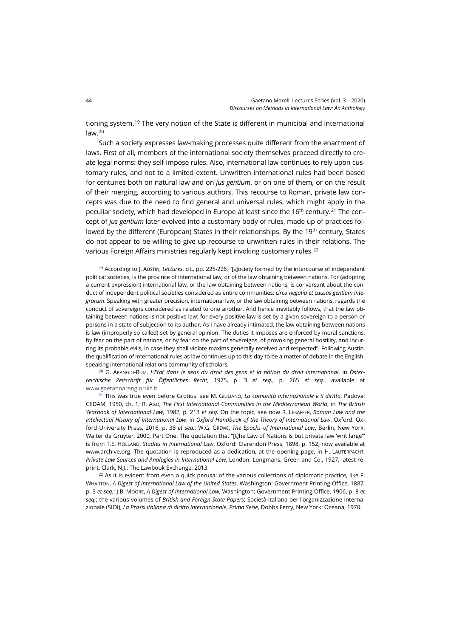tioning system.<sup>[19](#page-5-0)</sup> The very notion of the State is different in municipal and international  $l$ aw. $20$ 

Such a society expresses law-making processes quite different from the enactment of laws. First of all, members of the international society themselves proceed directly to create legal norms: they self-impose rules. Also, international law continues to rely upon customary rules, and not to a limited extent. Unwritten international rules had been based for centuries both on natural law and on *jus gentium*, or on one of them, or on the result of their merging, according to various authors. This recourse to Roman, private law concepts was due to the need to find general and universal rules, which might apply in the peculiar society, which had developed in Europe at least since the 16<sup>th</sup> century.<sup>21</sup> The concept of *jus gentium* later evolved into a customary body of rules, made up of practices followed by the different (European) States in their relationships. By the 19th century*,* States do not appear to be willing to give up recourse to unwritten rules in their relations. The various Foreign Affairs ministries regularly kept invoking customary rules.<sup>[22](#page-5-3)</sup>

<span id="page-5-0"></span><sup>19</sup> According to J. AUSTIN, *Lectures*, cit., pp. 225-226, "[s]ociety formed by the intercourse of independent political societies, is the province of international law, or of the law obtaining between nations. For (adopting a current expression) international law, or the law obtaining between nations, is conversant about the conduct of independent political societies considered as entire communities: *circa negotia et causas gentium integrarum*. Speaking with greater precision, international law, or the law obtaining between nations, regards the conduct of sovereigns considered as related to one another. And hence inevitably follows, that the law obtaining between nations is not positive law: for every positive law is set by a given sovereign to a person or persons in a state of subjection to its author. As I have already intimated, the law obtaining between nations is law (improperly so called) set by general opinion. The duties it imposes are enforced by moral sanctions: by fear on the part of nations, or by fear on the part of sovereigns, of provoking general hostility, and incurring its probable evils, in case they shall violate maxims generally received and respected". Following Austin, the qualification of international rules as law continues up to this day to be a matter of debate in the Englishspeaking international relations community of scholars.

<span id="page-5-1"></span><sup>20</sup> G. ARANGIO-RUIZ, *L'Etat dans le sens du droit des gens et la notion du droit international*, in *Österreichische Zeitschrift für Öffentliches Recht*, 1975, p. 3 *et seq.*, p. 265 *et seq.*, available at [www.gaetanoarangioruiz.it.](http://www.gaetanoarangioruiz.it/publications/letat-dans-le-sens-du-droit-des-gens-et-la-notion-du-droit-international/)

<span id="page-5-2"></span><sup>21</sup> This was true even before Grotius: see M. GIULIANO, *La comunità internazionale e il diritto*, Padova: CEDAM, 1950, ch. 1; R. AGO, *The First International Communities in the Mediterranean World*, in *The British Yearbook of International Law*, 1982, p. 213 *et seq.* On the topic, see now R. LESAFFER, *Roman Law and the Intellectual History of International Law*, in *Oxford Handbook of the Theory of International Law*, Oxford: Oxford University Press, 2016, p. 38 *et seq.*; W.G. GREWE, *The Epochs of International Law*, Berlin, New York: Walter de Gruyter, 2000, Part One. The quotation that "[t]he Law of Nations is but private law 'writ large'" is from T.E. HOLLAND, *Studies in International Law*, Oxford: Clarendon Press, 1898, p. 152, now available at [www.archive.org.](https://archive.org/details/studiesinintern00hollgoog) The quotation is reproduced as a dedication, at the opening page, in H. LAUTERPACHT, *Private Law Sources and Analogies in International Law*, London: Longmans, Green and Co., 1927, latest reprint, Clark, N.J.: The Lawbook Exchange, 2013.

<span id="page-5-3"></span> $22$  As it is evident from even a quick perusal of the various collections of diplomatic practice, like F. WHARTON, *A Digest of International Law of the United States*, Washington: Government Printing Office, 1887, p. 3 *et seq.*; J.B. MOORE, *A Digest of International Law*, Washington: Government Printing Office, 1906, p. 8 *et seq.*; the various volumes of *British and Foreign State Papers*; Società italiana per l'organizzazione internazionale (SIOI), *La Prassi italiana di diritto internazionale*, *Prima Serie*, Dobbs Ferry, New York: Oceana, 1970.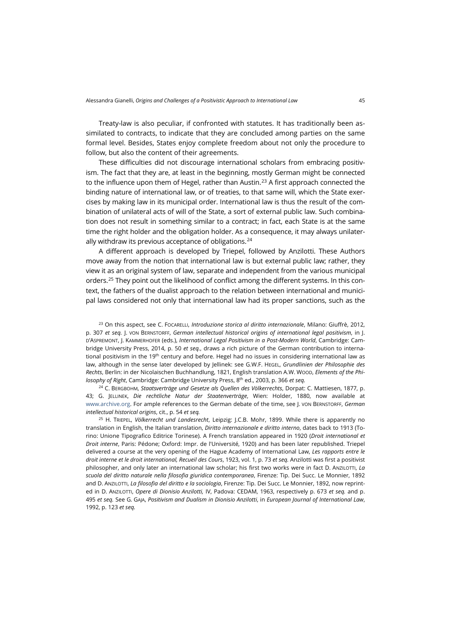Treaty-law is also peculiar, if confronted with statutes. It has traditionally been assimilated to contracts, to indicate that they are concluded among parties on the same formal level. Besides, States enjoy complete freedom about not only the procedure to follow, but also the content of their agreements.

These difficulties did not discourage international scholars from embracing positivism. The fact that they are, at least in the beginning, mostly German might be connected to the influence upon them of Hegel, rather than Austin.<sup>[23](#page-6-0)</sup> A first approach connected the binding nature of international law, or of treaties, to that same will, which the State exercises by making law in its municipal order. International law is thus the result of the combination of unilateral acts of will of the State, a sort of external public law. Such combination does not result in something similar to a contract; in fact, each State is at the same time the right holder and the obligation holder. As a consequence, it may always unilater-ally withdraw its previous acceptance of obligations.<sup>[24](#page-6-1)</sup>

A different approach is developed by Triepel, followed by Anzilotti. These Authors move away from the notion that international law is but external public law; rather, they view it as an original system of law, separate and independent from the various municipal orders.<sup>[25](#page-6-2)</sup> They point out the likelihood of conflict among the different systems. In this context, the fathers of the dualist approach to the relation between international and municipal laws considered not only that international law had its proper sanctions, such as the

<span id="page-6-0"></span><sup>23</sup> On this aspect, see C. FOCARELLI, *Introduzione storica al diritto internazionale*, Milano: Giuffrè, 2012, p. 307 *et seq.* J. VON BERNSTORFF, *German intellectual historical origins of international legal positivism*, in J. D'ASPREMONT, J. KAMMERHOFER (eds.), *International Legal Positivism in a Post-Modern World*, Cambridge: Cambridge University Press, 2014, p. 50 *et seq.*, draws a rich picture of the German contribution to international positivism in the 19<sup>th</sup> century and before. Hegel had no issues in considering international law as law, although in the sense later developed by Jellinek: see G.W.F. HEGEL, *Grundlinien der Philosophie des Rechts*, Berlin: in der Nicolaischen Buchhandlung, 1821, English translation A.W. WOOD, *Elements of the Philosophy of Right*, Cambridge: Cambridge University Press, 8th ed., 2003, p. 366 *et seq.*

<span id="page-6-1"></span><sup>24</sup> C. BERGBOHM, *Staatsverträge und Gesetze als Quellen des Völkerrechts*, Dorpat: C. Mattiesen, 1877, p. 43; G. JELLINEK, *Die rechtliche Natur der Staatenverträge*, Wien: Holder, 1880, now available at [www.archive.org.](https://archive.org/details/dierechtlichena00jellgoog/page/n5/mode/2up?) For ample references to the German debate of the time, see J. VON BERNSTORFF, *German intellectual historical origins*, cit., p. 54 *et seq.*

<span id="page-6-2"></span><sup>25</sup> H. TRIEPEL, *Völkerrecht und Landesrecht*, Leipzig: J.C.B. Mohr, 1899. While there is apparently no translation in English, the Italian translation, *Diritto internazionale e diritto interno*, dates back to 1913 (Torino: Unione Tipografico Editrice Torinese). A French translation appeared in 1920 (*Droit international et Droit interne*, Paris: Pédone; Oxford: Impr. de l'Université, 1920) and has been later republished. Triepel delivered a course at the very opening of the Hague Academy of International Law, *Les rapports entre le droit interne et le droit international, Recueil des Cours*, 1923, vol. 1, p. 73 *et seq.* Anzilotti was first a positivist philosopher, and only later an international law scholar; his first two works were in fact D. ANZILOTTI, *La scuola del diritto naturale nella filosofia giuridica contemporanea*, Firenze: Tip. Dei Succ. Le Monnier, 1892 and D. ANZILOTTI, *La filosofia del diritto e la sociologia*, Firenze: Tip. Dei Succ. Le Monnier, 1892, now reprinted in D. ANZILOTTI, *Opere di Dionisio Anzilotti,* IV, Padova: CEDAM, 1963, respectively p. 673 *et seq.* and p. 495 *et seq.* See G. GAJA, *Positivism and Dualism in Dionisio Anzilotti*, in *European Journal of International Law*, 1992, p. 123 *et seq.*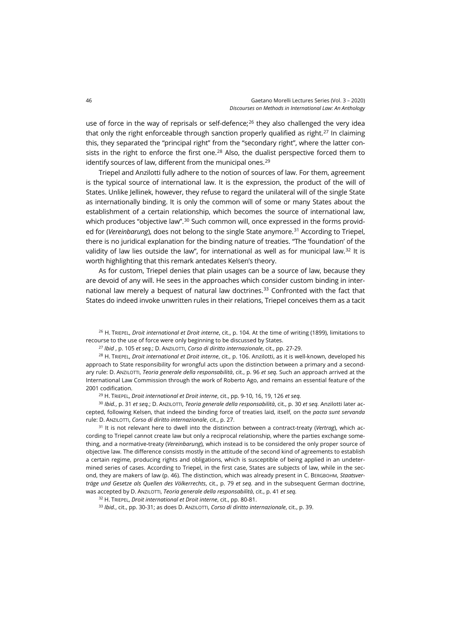use of force in the way of reprisals or self-defence;<sup>[26](#page-7-0)</sup> they also challenged the very idea that only the right enforceable through sanction properly qualified as right.<sup>[27](#page-7-1)</sup> In claiming this, they separated the "principal right" from the "secondary right", where the latter con-sists in the right to enforce the first one.<sup>[28](#page-7-2)</sup> Also, the dualist perspective forced them to identify sources of law, different from the municipal ones.<sup>[29](#page-7-3)</sup>

Triepel and Anzilotti fully adhere to the notion of sources of law. For them, agreement is the typical source of international law. It is the expression, the product of the will of States. Unlike Jellinek, however, they refuse to regard the unilateral will of the single State as internationally binding. It is only the common will of some or many States about the establishment of a certain relationship, which becomes the source of international law, which produces "objective law".<sup>[30](#page-7-4)</sup> Such common will, once expressed in the forms provided for (*Vereinbarung*), does not belong to the single State anymore.<sup>[31](#page-7-5)</sup> According to Triepel, there is no juridical explanation for the binding nature of treaties. "The 'foundation' of the validity of law lies outside the law", for international as well as for municipal law. $32$  It is worth highlighting that this remark antedates Kelsen's theory.

As for custom, Triepel denies that plain usages can be a source of law, because they are devoid of any will. He sees in the approaches which consider custom binding in international law merely a bequest of natural law doctrines.[33](#page-7-7) Confronted with the fact that States do indeed invoke unwritten rules in their relations, Triepel conceives them as a tacit

<span id="page-7-0"></span><sup>26</sup> H. TRIEPEL, *Droit international et Droit interne*, cit., p. 104. At the time of writing (1899), limitations to recourse to the use of force were only beginning to be discussed by States.

<sup>27</sup> *Ibid* , p. 105 *et seq.*; D. ANZILOTTI, *Corso di diritto internazionale*, cit., pp. 27-29.

<span id="page-7-2"></span><span id="page-7-1"></span><sup>28</sup> H. TRIEPEL, *Droit international et Droit interne*, cit., p. 106. Anzilotti, as it is well-known, developed his approach to State responsibility for wrongful acts upon the distinction between a primary and a secondary rule: D. ANZILOTTI, *Teoria generale della responsabilità*, cit., p. 96 *et seq.* Such an approach arrived at the International Law Commission through the work of Roberto Ago, and remains an essential feature of the 2001 codification.

<sup>29</sup> H. TRIEPEL, *Droit international et Droit interne*, cit., pp. 9-10, 16, 19, 126 *et seq.*

<span id="page-7-4"></span><span id="page-7-3"></span><sup>30</sup> *Ibid.*, p. 31 *et seq.*; D. ANZILOTTI, *Teoria generale della responsabilità*, cit., p. 30 *et seq.* Anzilotti later accepted, following Kelsen, that indeed the binding force of treaties laid, itself, on the *pacta sunt servanda*  rule: D. ANZILOTTI, *Corso di diritto internazionale*, cit., p. 27.

<span id="page-7-5"></span><sup>31</sup> It is not relevant here to dwell into the distinction between a contract-treaty (*Vertrag*), which according to Triepel cannot create law but only a reciprocal relationship, where the parties exchange something, and a normative-treaty (*Vereinbarung*), which instead is to be considered the only proper source of objective law. The difference consists mostly in the attitude of the second kind of agreements to establish a certain regime, producing rights and obligations, which is susceptible of being applied in an undetermined series of cases. According to Triepel, in the first case, States are subjects of law, while in the second, they are makers of law (p. 46). The distinction, which was already present in C. BERGBOHM, Staatsver*träge und Gesetze als Quellen des Völkerrechts*, cit., p. 79 *et seq.* and in the subsequent German doctrine, was accepted by D. ANZILOTTI, *Teoria generale della responsabilità*, cit., p. 41 *et seq.*

<sup>32</sup> H. TRIEPEL, *Droit international et Droit interne*, cit., pp. 80-81.

<span id="page-7-7"></span><span id="page-7-6"></span><sup>33</sup> *Ibid.*, cit., pp. 30-31; as does D. ANZILOTTI, *Corso di diritto internazionale*, cit., p. 39.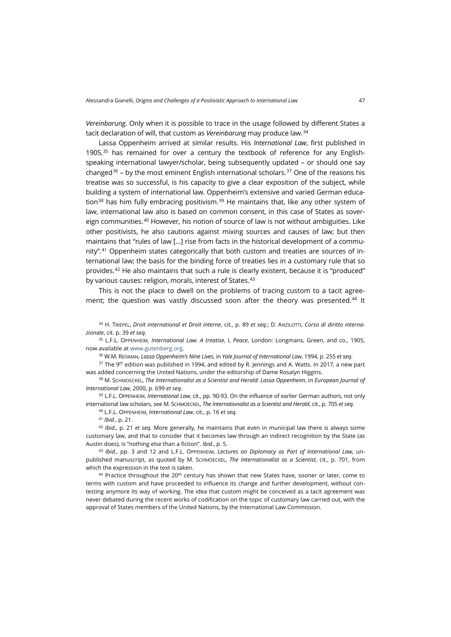*Vereinbarung*. Only when it is possible to trace in the usage followed by different States a tacit declaration of will, that custom as *Vereinbarung* may produce law.[34](#page-8-0)

Lassa Oppenheim arrived at similar results. His *International Law*, first published in 1905, $35$  has remained for over a century the textbook of reference for any Englishspeaking international lawyer/scholar, being subsequently updated – or should one say changed<sup>[36](#page-8-2)</sup> – by the most eminent English international scholars.<sup>[37](#page-8-3)</sup> One of the reasons his treatise was so successful, is his capacity to give a clear exposition of the subject, while building a system of international law. Oppenheim's extensive and varied German educa-tion<sup>[38](#page-8-4)</sup> has him fully embracing positivism.<sup>[39](#page-8-5)</sup> He maintains that, like any other system of law, international law also is based on common consent, in this case of States as sovereign communities.[40](#page-8-6) However, his notion of source of law is not without ambiguities. Like other positivists, he also cautions against mixing sources and causes of law; but then maintains that "rules of law […] rise from facts in the historical development of a community".[41](#page-8-7) Oppenheim states categorically that both custom and treaties are sources of international law; the basis for the binding force of treaties lies in a customary rule that so provides.[42](#page-8-8) He also maintains that such a rule is clearly existent, because it is "produced" by various causes: religion, morals, interest of States.<sup>[43](#page-8-9)</sup>

This is not the place to dwell on the problems of tracing custom to a tacit agree-ment; the question was vastly discussed soon after the theory was presented.<sup>[44](#page-8-10)</sup> It

<span id="page-8-0"></span><sup>34</sup> H. TRIEPEL, *Droit international et Droit interne*, cit., p. 89 *et seq.*; D. ANZILOTTI, *Corso di diritto internazionale*, cit. p. 39 *et seq.*

<span id="page-8-1"></span><sup>35</sup> L.F.L. OPPENHEIM, *International Law. A treatise*, I, *Peace*, London: Longmans, Green, and co., 1905, now available a[t www.gutenberg.org.](http://www.gutenberg.org/ebooks/41046?)

<sup>36</sup> W.M. REISMAN, *Lassa Oppenheim's Nine Lives*, in *Yale Journal of International Law*, 1994, p. 255 *et seq*.

<span id="page-8-3"></span><span id="page-8-2"></span> $37$  The 9<sup>th</sup> edition was published in 1994, and edited by R. Jennings and A. Watts. In 2017, a new part was added concerning the United Nations, under the editorship of Dame Rosalyn Higgins.

<span id="page-8-4"></span><sup>38</sup> M. SCHMOECKEL, *The Internationalist as a Scientist and Herald: Lassa Oppenheim*, in *European Journal of International Law*, 2000, p. 699 *et seq*.

<span id="page-8-6"></span><span id="page-8-5"></span><sup>39</sup> L.F.L. OPPENHEIM, *International Law*, cit., pp. 90-93. On the influence of earlier German authors, not only international law scholars, see M. SCHMOECKEL, *The Internationalist as a Scientist and Herald*, cit., p. 705 *et seq.*

<sup>40</sup> L.F.L. OPPENHEIM, *International Law*, cit., p. 16 *et seq.*

<sup>41</sup> *Ibid.*, p. 21.

<span id="page-8-8"></span><span id="page-8-7"></span><sup>42</sup> *Ibid.*, p. 21 *et seq.* More generally, he maintains that even in municipal law there is always some customary law, and that to consider that it becomes law through an indirect recognition by the State (as Austin does), is "nothing else than a fiction". *Ibid.*, p. 5.

<span id="page-8-9"></span><sup>43</sup> *Ibid.*, pp. 3 and 12 and L.F.L. OPPENHEIM, *Lectures on Diplomacy as Part of International Law*, unpublished manuscript, as quoted by M. SCHMOECKEL, *The Internationalist as a Scientist*, cit., p. 701, from which the expression in the text is taken.

<span id="page-8-10"></span> $44$  Practice throughout the 20<sup>th</sup> century has shown that new States have, sooner or later, come to terms with custom and have proceeded to influence its change and further development, without contesting anymore its way of working. The idea that custom might be conceived as a tacit agreement was never debated during the recent works of codification on the topic of customary law carried out, with the approval of States members of the United Nations, by the International Law Commission.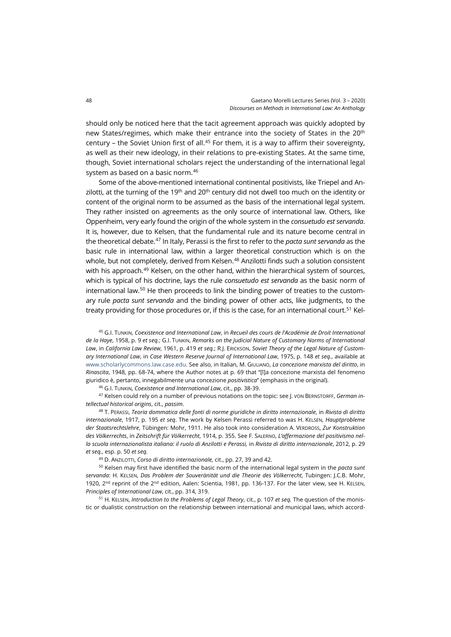should only be noticed here that the tacit agreement approach was quickly adopted by new States/regimes, which make their entrance into the society of States in the 20th century – the Soviet Union first of all.<sup>[45](#page-9-0)</sup> For them, it is a way to affirm their sovereignty, as well as their new ideology, in their relations to pre-existing States. At the same time, though, Soviet international scholars reject the understanding of the international legal system as based on a basic norm.<sup>[46](#page-9-1)</sup>

Some of the above-mentioned international continental positivists, like Triepel and Anzilotti, at the turning of the 19<sup>th</sup> and 20<sup>th</sup> century did not dwell too much on the identity or content of the original norm to be assumed as the basis of the international legal system. They rather insisted on agreements as the only source of international law. Others, like Oppenheim, very early found the origin of the whole system in the *consuetudo est servanda*. It is, however, due to Kelsen, that the fundamental rule and its nature become central in the theoretical debate. [47](#page-9-2) In Italy, Perassi is the first to refer to the *pacta sunt servanda* as the basic rule in international law, within a larger theoretical construction which is on the whole, but not completely, derived from Kelsen.<sup>48</sup> Anzilotti finds such a solution consistent with his approach.<sup>[49](#page-9-4)</sup> Kelsen, on the other hand, within the hierarchical system of sources, which is typical of his doctrine, lays the rule *consuetudo est servanda* as the basic norm of international law.<sup>[50](#page-9-5)</sup> He then proceeds to link the binding power of treaties to the customary rule *pacta sunt servanda* and the binding power of other acts, like judgments, to the treaty providing for those procedures or, if this is the case, for an international court.<sup>[51](#page-9-6)</sup> Kel-

<span id="page-9-0"></span><sup>45</sup> G.I. TUNKIN, *Coexistence and International Law*, in *Recueil des cours de l'Académie de Droit International de la Haye*, 1958, p. 9 *et seq.*; G.I. TUNKIN, *Remarks on the Judicial Nature of Customary Norms of International Law*, in *California Law Review*, 1961, p. 419 *et seq.*; R.J. ERICKSON, *Soviet Theory of the Legal Nature of Customary International Law*, in *Case Western Reserve Journal of International Law*, 1975, p. 148 *et seq.*, available at [www.scholarlycommons.law.case.edu.](http://scholarlycommons.law.case.edu/jil/vol7/iss2/11) See also, in Italian, M. GIULIANO, *La concezione marxista del diritto*, in *Rinascita*, 1948, pp. 68-74, where the Author notes at p. 69 that "[l]a concezione marxista del fenomeno giuridico è, pertanto, innegabilmente una concezione *positivistica*" (emphasis in the original).

<sup>46</sup> G.I. TUNKIN, *Coexistence and International Law*, cit., pp. 38-39.

<span id="page-9-2"></span><span id="page-9-1"></span><sup>47</sup> Kelsen could rely on a number of previous notations on the topic: see J. VON BERNSTORFF, *German intellectual historical origins*, cit., *passim*.

<span id="page-9-3"></span><sup>48</sup> T. PERASSI, *Teoria dommatica delle fonti di norme giuridiche in diritto internazionale*, in *Rivista di diritto internazionale*, 1917, p. 195 *et seq*. The work by Kelsen Perassi referred to was H. KELSEN, *Hauptprobleme der Staatsrechtslehre*, Tübingen: Mohr, 1911. He also took into consideration A. VERDROSS, *Zur Konstruktion des Völkerrechts*, in *Zeitschrift für Völkerrecht*, 1914, p. 355. See F. SALERNO, *L'affermazione del positivismo nella scuola internazionalista italiana: il ruolo di Anzilotti e Perassi,* in *Rivista di diritto internazionale*, 2012, p. 29 *et seq.*, esp. p. 50 *et seq.*

<sup>49</sup> D. ANZILOTTI, *Corso di diritto internazionale,* cit., pp. 27, 39 and 42.

<span id="page-9-5"></span><span id="page-9-4"></span><sup>50</sup> Kelsen may first have identified the basic norm of the international legal system in the *pacta sunt servanda*: H. KELSEN, *Das Problem der Souveränität und die Theorie des Völkerrecht*, Tubingen: J.C.B. Mohr, 1920, 2<sup>nd</sup> reprint of the 2<sup>nd</sup> edition, Aalen: Scientia, 1981, pp. 136-137. For the later view, see H. KELSEN, *Principles of International Law*, cit., pp. 314, 319.

<span id="page-9-6"></span><sup>51</sup> H. KELSEN, *Introduction to the Problems of Legal Theory*, cit., p. 107 *et seq.* The question of the monistic or dualistic construction on the relationship between international and municipal laws, which accord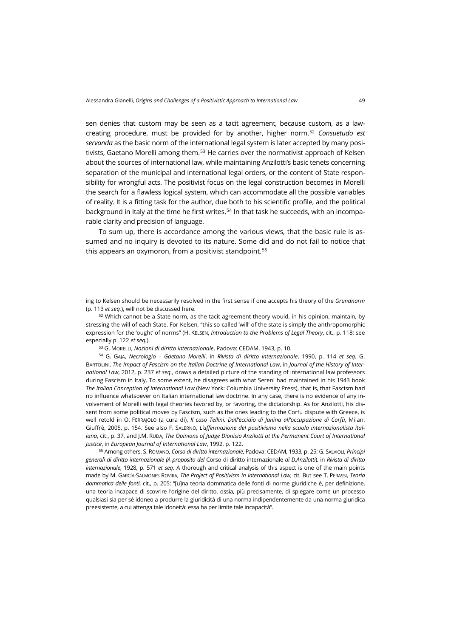sen denies that custom may be seen as a tacit agreement, because custom, as a lawcreating procedure, must be provided for by another, higher norm. [52](#page-10-0) *Consuetudo est servanda* as the basic norm of the international legal system is later accepted by many posi-tivists, Gaetano Morelli among them.<sup>[53](#page-10-1)</sup> He carries over the normativist approach of Kelsen about the sources of international law, while maintaining Anzilotti's basic tenets concerning separation of the municipal and international legal orders, or the content of State responsibility for wrongful acts. The positivist focus on the legal construction becomes in Morelli the search for a flawless logical system, which can accommodate all the possible variables of reality. It is a fitting task for the author, due both to his scientific profile, and the political background in Italy at the time he first writes.<sup>54</sup> In that task he succeeds, with an incomparable clarity and precision of language.

To sum up, there is accordance among the various views, that the basic rule is assumed and no inquiry is devoted to its nature. Some did and do not fail to notice that this appears an oxymoron, from a positivist standpoint. [55](#page-10-3)

ing to Kelsen should be necessarily resolved in the first sense if one accepts his theory of the *Grundnorm* (p. 113 *et seq.*), will not be discussed here.

<span id="page-10-0"></span><sup>52</sup> Which cannot be a State norm, as the tacit agreement theory would, in his opinion, maintain, by stressing the will of each State. For Kelsen, "this so-called 'will' of the state is simply the anthropomorphic expression for the 'ought' of norms" (H. KELSEN, *Introduction to the Problems of Legal Theory*, cit., p. 118; see especially p. 122 *et seq.*).

<sup>53</sup> G. MORELLI, *Nozioni di diritto internazionale*, Padova: CEDAM, 1943, p. 10.

<span id="page-10-2"></span><span id="page-10-1"></span><sup>54</sup> G. GAJA, *Necrologio – Gaetano Morelli*, in *Rivista di diritto internazionale*, 1990, p. 114 *et seq.* G. BARTOLINI, *The Impact of Fascism on the Italian Doctrine of International Law*, in *Journal of the History of International Law*, 2012, p. 237 *et seq.*, draws a detailed picture of the standing of international law professors during Fascism in Italy. To some extent, he disagrees with what Sereni had maintained in his 1943 book *The Italian Conception of International Law* (New York: Columbia University Press), that is, that Fascism had no influence whatsoever on Italian international law doctrine. In any case, there is no evidence of any involvement of Morelli with legal theories favored by, or favoring, the dictatorship. As for Anzilotti, his dissent from some political moves by Fascism, such as the ones leading to the Corfu dispute with Greece, is well retold in O. FERRAJOLO (a cura di), *Il caso Tellini. Dall'eccidio di Janina all'occupazione di Corfù*, Milan: Giuffrè, 2005, p. 154. See also F. SALERNO, *L'affermazione del positivismo nella scuola internazionalista italiana*, cit., p. 37, and J.M. RupA, *The Opinions of Judge Dionisio Anzilotti at the Permanent Court of International Justice*, in *European Journal of International Law*, 1992, p. 122.

<span id="page-10-3"></span><sup>55</sup> Among others, S. ROMANO, *Corso di diritto internazionale*, Padova: CEDAM, 1933, p. 25; G. SALVIOLI, *Principi generali di diritto internazionale (A proposito del* Corso di diritto internazionale *di D.Anzilotti*)*,* in *Rivista di diritto internazionale*, 1928, p. 571 *et seq.* A thorough and critical analysis of this aspect is one of the main points made by M. GARCÍA-SALMONES ROVIRA, *The Project of Positivism in International Law*, cit. But see T. PERASSI, *Teoria dommatica delle fonti*, cit., p. 205: "[u]na teoria dommatica delle fonti di norme giuridiche è, per definizione, una teoria incapace di scovrire l'origine del diritto, ossia, più precisamente, di spiegare come un processo qualsiasi sia per sè idoneo a produrre la giuridicità di una norma indipendentemente da una norma giuridica preesistente, a cui attenga tale idoneità: essa ha per limite tale incapacità".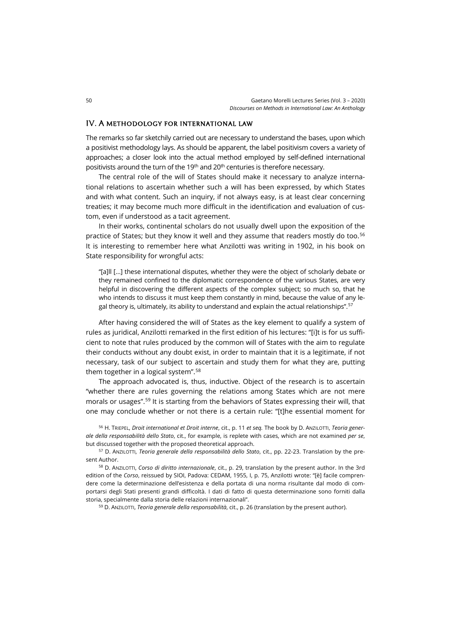#### IV. A methodology for international law

The remarks so far sketchily carried out are necessary to understand the bases, upon which a positivist methodology lays. As should be apparent, the label positivism covers a variety of approaches; a closer look into the actual method employed by self-defined international positivists around the turn of the 19<sup>th</sup> and 20<sup>th</sup> centuries is therefore necessary.

The central role of the will of States should make it necessary to analyze international relations to ascertain whether such a will has been expressed, by which States and with what content. Such an inquiry, if not always easy, is at least clear concerning treaties; it may become much more difficult in the identification and evaluation of custom, even if understood as a tacit agreement.

In their works, continental scholars do not usually dwell upon the exposition of the practice of States; but they know it well and they assume that readers mostly do too.<sup>[56](#page-11-0)</sup> It is interesting to remember here what Anzilotti was writing in 1902, in his book on State responsibility for wrongful acts:

"[a]ll […] these international disputes, whether they were the object of scholarly debate or they remained confined to the diplomatic correspondence of the various States, are very helpful in discovering the different aspects of the complex subject; so much so, that he who intends to discuss it must keep them constantly in mind, because the value of any le-gal theory is, ultimately, its ability to understand and explain the actual relationships".<sup>[57](#page-11-1)</sup>

After having considered the will of States as the key element to qualify a system of rules as juridical, Anzilotti remarked in the first edition of his lectures: "[i]t is for us sufficient to note that rules produced by the common will of States with the aim to regulate their conducts without any doubt exist, in order to maintain that it is a legitimate, if not necessary, task of our subject to ascertain and study them for what they are, putting them together in a logical system".[58](#page-11-2)

The approach advocated is, thus, inductive. Object of the research is to ascertain "whether there are rules governing the relations among States which are not mere morals or usages". [59](#page-11-3) It is starting from the behaviors of States expressing their will, that one may conclude whether or not there is a certain rule: "[t]he essential moment for

<span id="page-11-0"></span><sup>56</sup> H. TRIEPEL, *Droit international et Droit interne*, cit., p. 11 *et seq.* The book by D. ANZILOTTI, *Teoria generale della responsabilità dello Stato*, cit., for example, is replete with cases, which are not examined *per se*, but discussed together with the proposed theoretical approach.

<span id="page-11-1"></span><sup>57</sup> D. ANZILOTTI, *Teoria generale della responsabilità dello Stato*, cit., pp. 22-23. Translation by the present Author.

<span id="page-11-3"></span><span id="page-11-2"></span><sup>58</sup> D. ANZILOTTI, *Corso di diritto internazionale*, cit., p. 29, translation by the present author. In the 3rd edition of the *Corso*, reissued by SIOI, Padova: CEDAM, 1955, I, p. 75, Anzilotti wrote: "[è] facile comprendere come la determinazione dell'esistenza e della portata di una norma risultante dal modo di comportarsi degli Stati presenti grandi difficoltà. I dati di fatto di questa determinazione sono forniti dalla storia, specialmente dalla storia delle relazioni internazionali".

<sup>59</sup> D. ANZILOTTI, *Teoria generale della responsabilità*, cit., p. 26 (translation by the present author).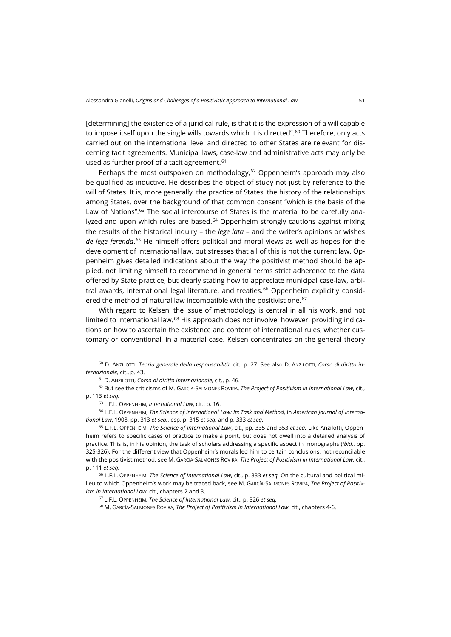[determining] the existence of a juridical rule, is that it is the expression of a will capable to impose itself upon the single wills towards which it is directed". [60](#page-12-0) Therefore, only acts carried out on the international level and directed to other States are relevant for discerning tacit agreements. Municipal laws, case-law and administrative acts may only be used as further proof of a tacit agreement.<sup>[61](#page-12-1)</sup>

Perhaps the most outspoken on methodology,  $62$  Oppenheim's approach may also be qualified as inductive. He describes the object of study not just by reference to the will of States. It is, more generally, the practice of States, the history of the relationships among States, over the background of that common consent "which is the basis of the Law of Nations".<sup>[63](#page-12-3)</sup> The social intercourse of States is the material to be carefully ana-lyzed and upon which rules are based.<sup>[64](#page-12-4)</sup> Oppenheim strongly cautions against mixing the results of the historical inquiry – the *lege lata* – and the writer's opinions or wishes *de lege ferenda*. [65](#page-12-5) He himself offers political and moral views as well as hopes for the development of international law, but stresses that all of this is not the current law. Oppenheim gives detailed indications about the way the positivist method should be applied, not limiting himself to recommend in general terms strict adherence to the data offered by State practice, but clearly stating how to appreciate municipal case-law, arbi-tral awards, international legal literature, and treaties.<sup>[66](#page-12-6)</sup> Oppenheim explicitly consid-ered the method of natural law incompatible with the positivist one.<sup>[67](#page-12-7)</sup>

With regard to Kelsen, the issue of methodology is central in all his work, and not limited to international law.<sup>[68](#page-12-8)</sup> His approach does not involve, however, providing indications on how to ascertain the existence and content of international rules, whether customary or conventional, in a material case. Kelsen concentrates on the general theory

<span id="page-12-0"></span><sup>60</sup> D. ANZILOTTI, *Teoria generale della responsabilità*, cit., p. 27. See also D. ANZILOTTI, *Corso di diritto internazionale,* cit., p. 43.

<sup>61</sup> D. ANZILOTTI, *Corso di diritto internazionale,* cit., p. 46.

<span id="page-12-2"></span><span id="page-12-1"></span><sup>62</sup> But see the criticisms of M. GARCÍA-SALMONES ROVIRA, *The Project of Positivism in International Law*, cit., p. 113 *et seq.*

<sup>63</sup> L.F.L. OPPENHEIM, *International Law*, cit., p. 16.

<span id="page-12-4"></span><span id="page-12-3"></span><sup>64</sup> L.F.L. OPPENHEIM, *The Science of International Law: Its Task and Method*, in *American Journal of International Law*, 1908, pp. 313 *et seq.*, esp. p. 315 *et seq.* and p. 333 *et seq.*

<span id="page-12-5"></span><sup>65</sup> L.F.L. OPPENHEIM, *The Science of International Law*, cit., pp. 335 and 353 *et seq.* Like Anzilotti, Oppenheim refers to specific cases of practice to make a point, but does not dwell into a detailed analysis of practice. This is, in his opinion, the task of scholars addressing a specific aspect in monographs (*ibid.*, pp. 325-326). For the different view that Oppenheim's morals led him to certain conclusions, not reconcilable with the positivist method, see M. GARCÍA-SALMONES ROVIRA, *The Project of Positivism in International Law*, cit., p. 111 *et seq.*

<span id="page-12-8"></span><span id="page-12-7"></span><span id="page-12-6"></span><sup>66</sup> L.F.L. OPPENHEIM, *The Science of International Law*, cit., p. 333 *et seq.* On the cultural and political milieu to which Oppenheim's work may be traced back, see M. GARCÍA-SALMONES ROVIRA, *The Project of Positivism in International Law*, cit., chapters 2 and 3.

<sup>67</sup> L.F.L. OPPENHEIM, *The Science of International Law*, cit., p. 326 *et seq.*

<sup>68</sup> M. GARCÍA-SALMONES ROVIRA, *The Project of Positivism in International Law*, cit., chapters 4-6.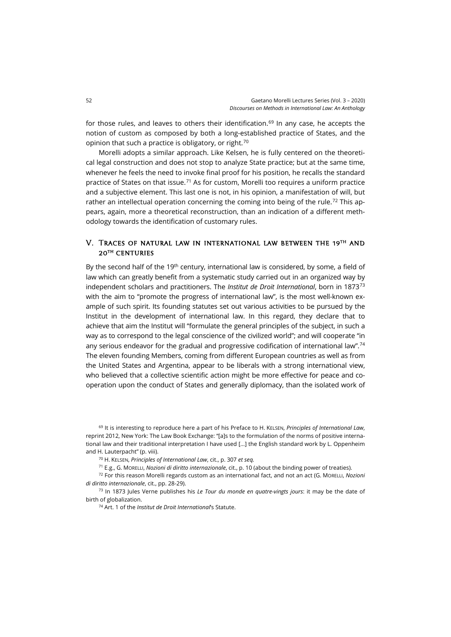for those rules, and leaves to others their identification.<sup>[69](#page-13-0)</sup> In any case, he accepts the notion of custom as composed by both a long-established practice of States, and the opinion that such a practice is obligatory, or right.<sup>[70](#page-13-1)</sup>

Morelli adopts a similar approach. Like Kelsen, he is fully centered on the theoretical legal construction and does not stop to analyze State practice; but at the same time, whenever he feels the need to invoke final proof for his position, he recalls the standard practice of States on that issue.<sup>[71](#page-13-2)</sup> As for custom, Morelli too requires a uniform practice and a subjective element. This last one is not, in his opinion, a manifestation of will, but rather an intellectual operation concerning the coming into being of the rule.<sup>[72](#page-13-3)</sup> This appears, again, more a theoretical reconstruction, than an indication of a different methodology towards the identification of customary rules.

# V. Traces of natural law in international law between the 19th and 20th centuries

By the second half of the 19<sup>th</sup> century, international law is considered, by some, a field of law which can greatly benefit from a systematic study carried out in an organized way by independent scholars and practitioners. The *Institut de Droit International*, born in 1873[73](#page-13-4) with the aim to "promote the progress of international law", is the most well-known example of such spirit. Its founding statutes set out various activities to be pursued by the Institut in the development of international law. In this regard, they declare that to achieve that aim the Institut will "formulate the general principles of the subject, in such a way as to correspond to the legal conscience of the civilized world"; and will cooperate "in any serious endeavor for the gradual and progressive codification of international law".<sup>74</sup> The eleven founding Members, coming from different European countries as well as from the United States and Argentina, appear to be liberals with a strong international view, who believed that a collective scientific action might be more effective for peace and cooperation upon the conduct of States and generally diplomacy, than the isolated work of

<span id="page-13-0"></span><sup>69</sup> It is interesting to reproduce here a part of his Preface to H. KELSEN, *Principles of International Law*, reprint 2012, New York: The Law Book Exchange: "[a]s to the formulation of the norms of positive international law and their traditional interpretation I have used […] the English standard work by L. Oppenheim and H. Lauterpacht" (p. viii).

<sup>70</sup> H. KELSEN, *Principles of International Law*, cit., p. 307 *et seq.*

<sup>71</sup> E.g., G. MORELLI, *Nozioni di diritto internazionale*, cit., p. 10 (about the binding power of treaties).

<span id="page-13-3"></span><span id="page-13-2"></span><span id="page-13-1"></span><sup>72</sup> For this reason Morelli regards custom as an international fact, and not an act (G. MORELLI, *Nozioni di diritto internazionale*, cit., pp. 28-29).

<span id="page-13-5"></span><span id="page-13-4"></span><sup>73</sup> In 1873 Jules Verne publishes his *Le Tour du monde en quatre-vingts jours*: it may be the date of birth of globalization.

<sup>74</sup> Art. 1 of the *Institut de Droit International*'s Statute.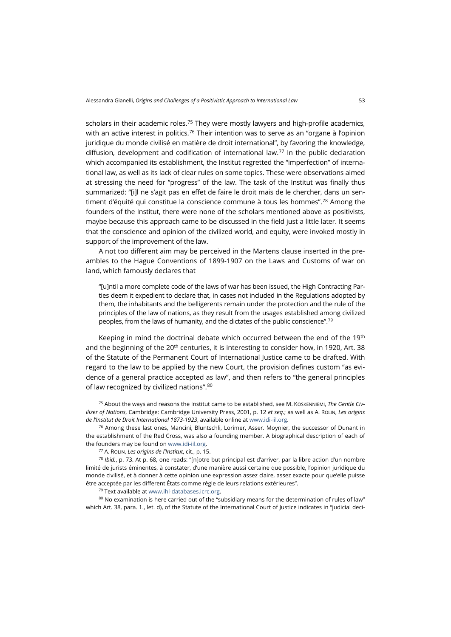scholars in their academic roles.<sup>[75](#page-14-0)</sup> They were mostly lawyers and high-profile academics, with an active interest in politics.<sup>[76](#page-14-1)</sup> Their intention was to serve as an "organe à l'opinion juridique du monde civilisé en matière de droit international", by favoring the knowledge, diffusion, development and codification of international law.[77](#page-14-2) In the public declaration which accompanied its establishment, the Institut regretted the "imperfection" of international law, as well as its lack of clear rules on some topics. These were observations aimed at stressing the need for "progress" of the law. The task of the Institut was finally thus summarized: "[i]l ne s'agit pas en effet de faire le droit mais de le chercher, dans un sen-timent d'équité qui constitue la conscience commune à tous les hommes".<sup>[78](#page-14-3)</sup> Among the founders of the Institut, there were none of the scholars mentioned above as positivists, maybe because this approach came to be discussed in the field just a little later. It seems that the conscience and opinion of the civilized world, and equity, were invoked mostly in support of the improvement of the law.

A not too different aim may be perceived in the Martens clause inserted in the preambles to the Hague Conventions of 1899-1907 on the Laws and Customs of war on land, which famously declares that

"[u]ntil a more complete code of the laws of war has been issued, the High Contracting Parties deem it expedient to declare that, in cases not included in the Regulations adopted by them, the inhabitants and the belligerents remain under the protection and the rule of the principles of the law of nations, as they result from the usages established among civilized peoples, from the laws of humanity, and the dictates of the public conscience".[79](#page-14-4)

Keeping in mind the doctrinal debate which occurred between the end of the 19<sup>th</sup> and the beginning of the  $20<sup>th</sup>$  centuries, it is interesting to consider how, in 1920, Art. 38 of the Statute of the Permanent Court of International Justice came to be drafted. With regard to the law to be applied by the new Court, the provision defines custom "as evidence of a general practice accepted as law", and then refers to "the general principles of law recognized by civilized nations". [80](#page-14-5)

<span id="page-14-0"></span><sup>75</sup> About the ways and reasons the Institut came to be established, see M. KOSKENNIEMI, *The Gentle Civilizer of Nations*, Cambridge: Cambridge University Press, 2001, p. 12 *et seq.*; as well as A. ROLIN, *Les origins de l'Institut de Droit International 1873-1923*, available online a[t www.idi-iil.org.](http://www.idi-iil.org/app/uploads/2018/04/Les-origines-de-lInstitut-de-Droit-international-Souvenirs-dun-t%C3%A9moin-par-le-Baron-Alb%C3%A9ric-Rolin-1873-1923.pdf)

<span id="page-14-1"></span> $76$  Among these last ones, Mancini, Bluntschli, Lorimer, Asser. Moynier, the successor of Dunant in the establishment of the Red Cross, was also a founding member. A biographical description of each of the founders may be found o[n www.idi-iil.org.](http://www.idi-iil.org/fr/histoire/fondateurs/)

<sup>77</sup> A. ROLIN, *Les origins de l'Institut*, cit., p. 15.

<span id="page-14-3"></span><span id="page-14-2"></span><sup>78</sup> *Ibid.*, p. 73. At p. 68, one reads: "[n]otre but principal est d'arriver, par la libre action d'un nombre limité de jurists éminentes, à constater, d'une manière aussi certaine que possible, l'opinion juridique du monde civilisé, et à donner à cette opinion une expression assez claire, assez exacte pour que'elle puisse être acceptée par les different États comme règle de leurs relations extérieures".

<sup>79</sup> Text available a[t www.ihl-databases.icrc.org.](https://ihl-databases.icrc.org/applic/ihl/ihl.nsf/vwTreatiesByTopics.xsp)

<span id="page-14-5"></span><span id="page-14-4"></span>80 No examination is here carried out of the "subsidiary means for the determination of rules of law" which Art. 38, para. 1., let. d), of the Statute of the International Court of Justice indicates in "judicial deci-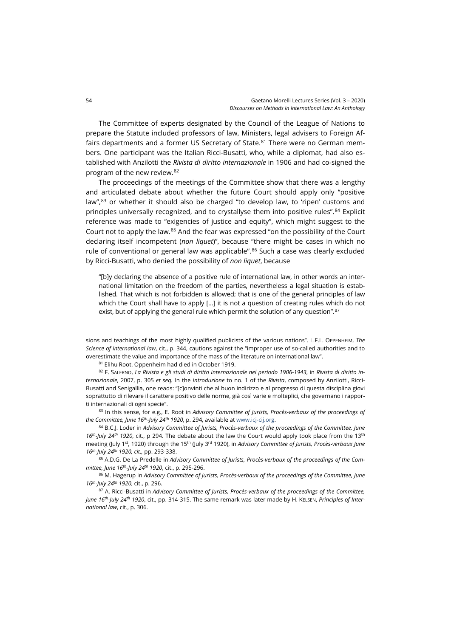The Committee of experts designated by the Council of the League of Nations to prepare the Statute included professors of law, Ministers, legal advisers to Foreign Affairs departments and a former US Secretary of State. $81$  There were no German members. One participant was the Italian Ricci-Busatti, who, while a diplomat, had also established with Anzilotti the *Rivista di diritto internazionale* in 1906 and had co-signed the program of the new review.[82](#page-15-1)

The proceedings of the meetings of the Committee show that there was a lengthy and articulated debate about whether the future Court should apply only "positive law",<sup>[83](#page-15-2)</sup> or whether it should also be charged "to develop law, to 'ripen' customs and principles universally recognized, and to crystallyse them into positive rules".[84](#page-15-3) Explicit reference was made to "exigencies of justice and equity", which might suggest to the Court not to apply the law.[85](#page-15-4) And the fear was expressed "on the possibility of the Court declaring itself incompetent (*non liquet*)", because "there might be cases in which no rule of conventional or general law was applicable". $86$  Such a case was clearly excluded by Ricci-Busatti, who denied the possibility of *non liquet*, because

"[b]y declaring the absence of a positive rule of international law, in other words an international limitation on the freedom of the parties, nevertheless a legal situation is established. That which is not forbidden is allowed; that is one of the general principles of law which the Court shall have to apply [...] it is not a question of creating rules which do not exist, but of applying the general rule which permit the solution of any question".<sup>87</sup>

sions and teachings of the most highly qualified publicists of the various nations". L.F.L. OPPENHEIM, *The Science of international law*, cit., p. 344, cautions against the "improper use of so-called authorities and to overestimate the value and importance of the mass of the literature on international law".

<sup>81</sup> Elihu Root. Oppenheim had died in October 1919.

<span id="page-15-1"></span><span id="page-15-0"></span><sup>82</sup> F. SALERNO, *La Rivista e gli studi di diritto internazionale nel periodo 1906-1943*, in *Rivista di diritto internazionale*, 2007, p. 305 *et seq.* In the *Introduzione* to no. 1 of the *Rivista*, composed by Anzilotti, Ricci-Busatti and Senigallia, one reads: "[c]onvinti che al buon indirizzo e al progresso di questa disciplina giovi soprattutto di rilevare il carattere positivo delle norme, già così varie e molteplici, che governano i rapporti internazionali di ogni specie".

<span id="page-15-2"></span>83 In this sense, for e.g., E. Root in *Advisory Committee of Jurists, Procès-verbaux of the proceedings of the Committee, June 16th-July 24th 1920*, p. 294, available a[t www.icj-cij.org.](https://www.icj-cij.org/files/permanent-court-of-international-justice/serie_D/D_minutes_statut_PCIJ_11au19march_1929.pdf)

<span id="page-15-3"></span><sup>84</sup> B.C.J. Loder in *Advisory Committee of Jurists, Procès-verbaux of the proceedings of the Committee, June 16th-July 24th 1920*, cit., p 294. The debate about the law the Court would apply took place from the 13th meeting (July 1st, 1920) through the 15th (July 3rd 1920), in *Advisory Committee of Jurists, Procès-verbaux June 16th-July 24th 1920, cit.,* pp. 293-338.

<span id="page-15-4"></span><sup>85</sup> A.D.G. De La Predelle in *Advisory Committee of Jurists, Procès-verbaux of the proceedings of the Committee, June 16th-July 24th 1920*, cit., p. 295-296.

<span id="page-15-5"></span><sup>86</sup> M. Hagerup in *Advisory Committee of Jurists, Procès-verbaux of the proceedings of the Committee, June 16th-July 24th 1920*, cit., p. 296.

<span id="page-15-6"></span><sup>87</sup> A. Ricci-Busatti in *Advisory Committee of Jurists, Procès-verbaux of the proceedings of the Committee, June 16th-July 24th 1920*, cit., pp. 314-315. The same remark was later made by H. KELSEN, *Principles of International law*, cit., p. 306.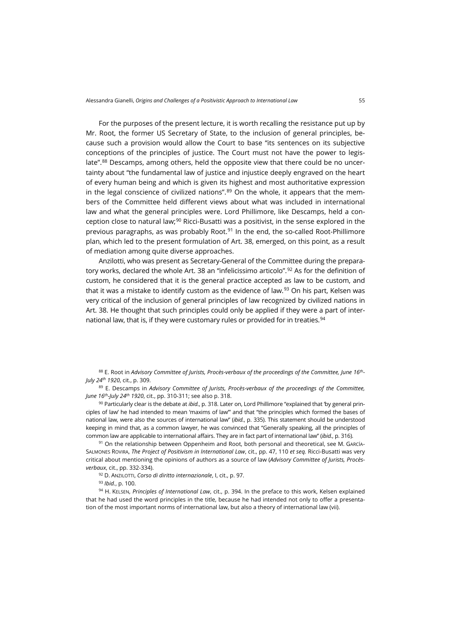For the purposes of the present lecture, it is worth recalling the resistance put up by Mr. Root, the former US Secretary of State, to the inclusion of general principles, because such a provision would allow the Court to base "its sentences on its subjective conceptions of the principles of justice. The Court must not have the power to legislate".[88](#page-16-0) Descamps, among others, held the opposite view that there could be no uncertainty about "the fundamental law of justice and injustice deeply engraved on the heart of every human being and which is given its highest and most authoritative expression in the legal conscience of civilized nations". $89$  On the whole, it appears that the members of the Committee held different views about what was included in international law and what the general principles were. Lord Phillimore, like Descamps, held a conception close to natural law;[90](#page-16-2) Ricci-Busatti was a positivist, in the sense explored in the previous paragraphs, as was probably Root.<sup>[91](#page-16-3)</sup> In the end, the so-called Root-Phillimore plan, which led to the present formulation of Art. 38, emerged, on this point, as a result of mediation among quite diverse approaches.

Anzilotti, who was present as Secretary-General of the Committee during the prepara-tory works, declared the whole Art. 38 an "infelicissimo articolo".<sup>[92](#page-16-4)</sup> As for the definition of custom, he considered that it is the general practice accepted as law to be custom, and that it was a mistake to identify custom as the evidence of law. $93$  On his part, Kelsen was very critical of the inclusion of general principles of law recognized by civilized nations in Art. 38. He thought that such principles could only be applied if they were a part of inter-national law, that is, if they were customary rules or provided for in treaties.<sup>[94](#page-16-6)</sup>

<span id="page-16-0"></span><sup>88</sup> E. Root in *Advisory Committee of Jurists, Procès-verbaux of the proceedings of the Committee, June 16th-July 24th 1920*, cit., p. 309.

<span id="page-16-1"></span><sup>89</sup> E. Descamps in *Advisory Committee of Jurists, Procès-verbaux of the proceedings of the Committee, June 16th-July 24th 1920*, cit., pp. 310-311; see also p. 318.

<span id="page-16-2"></span><sup>90</sup> Particularly clear is the debate at *ibid.*, p. 318. Later on, Lord Phillimore "explained that 'by general principles of law' he had intended to mean 'maxims of law'" and that "the principles which formed the bases of national law, were also the sources of international law" (*ibid.*, p. 335). This statement should be understood keeping in mind that, as a common lawyer, he was convinced that "Generally speaking, all the principles of common law are applicable to international affairs. They are in fact part of international law" (*ibid.*, p. 316).

<span id="page-16-3"></span>91 On the relationship between Oppenheim and Root, both personal and theoretical, see M. GARCÍA-SALMONES ROVIRA, *The Project of Positivism in International Law*, cit., pp. 47, 110 *et seq.* Ricci-Busatti was very critical about mentioning the opinions of authors as a source of law (*Advisory Committee of Jurists, Procèsverbaux*, cit., pp. 332-334).

<sup>92</sup> D. ANZILOTTI, *Corso di diritto internazionale*, I, cit., p. 97.

<sup>93</sup> *Ibid.*, p. 100.

<span id="page-16-6"></span><span id="page-16-5"></span><span id="page-16-4"></span>94 H. KELSEN, Principles of International Law, cit., p. 394. In the preface to this work, Kelsen explained that he had used the word principles in the title, because he had intended not only to offer a presentation of the most important norms of international law, but also a theory of international law (vii).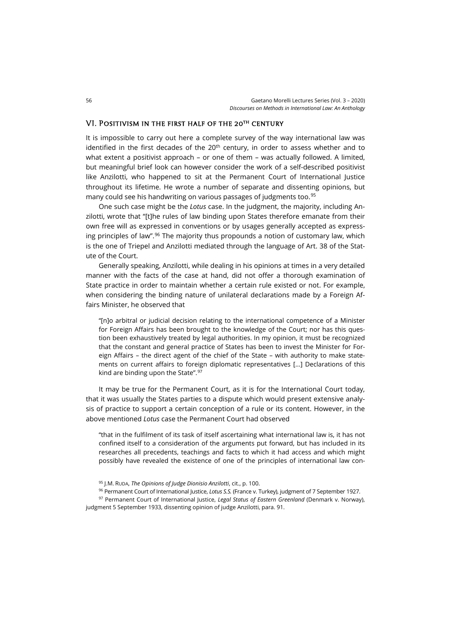### VI. Positivism in the first half of the 20th century

It is impossible to carry out here a complete survey of the way international law was identified in the first decades of the  $20<sup>th</sup>$  century, in order to assess whether and to what extent a positivist approach – or one of them – was actually followed. A limited, but meaningful brief look can however consider the work of a self-described positivist like Anzilotti, who happened to sit at the Permanent Court of International Justice throughout its lifetime. He wrote a number of separate and dissenting opinions, but many could see his handwriting on various passages of judgments too.<sup>[95](#page-17-0)</sup>

One such case might be the *Lotus* case. In the judgment, the majority, including Anzilotti, wrote that "[t]he rules of law binding upon States therefore emanate from their own free will as expressed in conventions or by usages generally accepted as express-ing principles of law".<sup>[96](#page-17-1)</sup> The majority thus propounds a notion of customary law, which is the one of Triepel and Anzilotti mediated through the language of Art. 38 of the Statute of the Court.

Generally speaking, Anzilotti, while dealing in his opinions at times in a very detailed manner with the facts of the case at hand, did not offer a thorough examination of State practice in order to maintain whether a certain rule existed or not. For example, when considering the binding nature of unilateral declarations made by a Foreign Affairs Minister, he observed that

"[n]o arbitral or judicial decision relating to the international competence of a Minister for Foreign Affairs has been brought to the knowledge of the Court; nor has this question been exhaustively treated by legal authorities. In my opinion, it must be recognized that the constant and general practice of States has been to invest the Minister for Foreign Affairs – the direct agent of the chief of the State – with authority to make statements on current affairs to foreign diplomatic representatives […] Declarations of this kind are binding upon the State".<sup>[97](#page-17-2)</sup>

It may be true for the Permanent Court, as it is for the International Court today, that it was usually the States parties to a dispute which would present extensive analysis of practice to support a certain conception of a rule or its content. However, in the above mentioned *Lotus* case the Permanent Court had observed

"that in the fulfilment of its task of itself ascertaining what international law is, it has not confined itself to a consideration of the arguments put forward, but has included in its researches all precedents, teachings and facts to which it had access and which might possibly have revealed the existence of one of the principles of international law con-

<sup>96</sup> Permanent Court of International Justice, *Lotus S.S.* (France v. Turkey), judgment of 7 September 1927.

<span id="page-17-2"></span><span id="page-17-1"></span><span id="page-17-0"></span><sup>97</sup> Permanent Court of International Justice, *Legal Status of Eastern Greenland* (Denmark v. Norway), judgment 5 September 1933, dissenting opinion of judge Anzilotti, para. 91.

<sup>95</sup> J.M. RUDA, *The Opinions of Judge Dionisio Anzilotti*, cit., p. 100.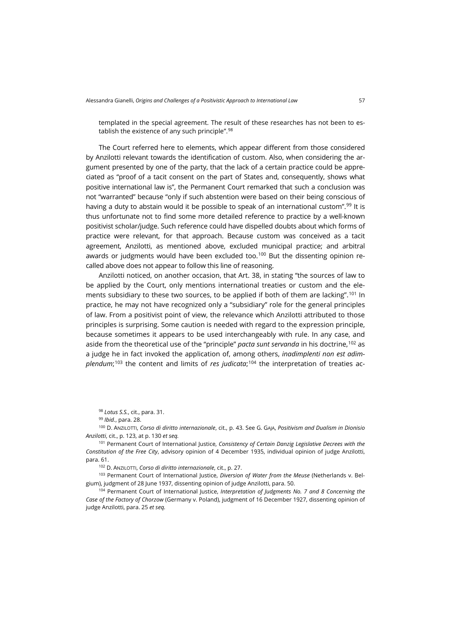templated in the special agreement. The result of these researches has not been to es-tablish the existence of any such principle".<sup>[98](#page-18-0)</sup>

The Court referred here to elements, which appear different from those considered by Anzilotti relevant towards the identification of custom. Also, when considering the argument presented by one of the party, that the lack of a certain practice could be appreciated as "proof of a tacit consent on the part of States and, consequently, shows what positive international law is", the Permanent Court remarked that such a conclusion was not "warranted" because "only if such abstention were based on their being conscious of having a duty to abstain would it be possible to speak of an international custom".<sup>[99](#page-18-1)</sup> It is thus unfortunate not to find some more detailed reference to practice by a well-known positivist scholar/judge. Such reference could have dispelled doubts about which forms of practice were relevant, for that approach. Because custom was conceived as a tacit agreement, Anzilotti, as mentioned above, excluded municipal practice; and arbitral awards or judgments would have been excluded too.<sup>[100](#page-18-2)</sup> But the dissenting opinion recalled above does not appear to follow this line of reasoning.

Anzilotti noticed, on another occasion, that Art. 38, in stating "the sources of law to be applied by the Court, only mentions international treaties or custom and the elements subsidiary to these two sources, to be applied if both of them are lacking".[101](#page-18-3) In practice, he may not have recognized only a "subsidiary" role for the general principles of law. From a positivist point of view, the relevance which Anzilotti attributed to those principles is surprising. Some caution is needed with regard to the expression principle, because sometimes it appears to be used interchangeably with rule. In any case, and aside from the theoretical use of the "principle" *pacta sunt servanda* in his doctrine,[102](#page-18-4) as a judge he in fact invoked the application of, among others, *inadimplenti non est adimplendum*; [103](#page-18-5) the content and limits of *res judicata*; [104](#page-18-6) the interpretation of treaties ac-

<sup>98</sup> *Lotus S.S.*, cit., para. 31.

<sup>99</sup> *Ibid.*, para. 28.

<span id="page-18-2"></span><span id="page-18-1"></span><span id="page-18-0"></span><sup>100</sup> D. ANZILOTTI, *Corso di diritto internazionale*, cit., p. 43. See G. GAJA, *Positivism and Dualism in Dionisio Anzilotti*, cit., p. 123, at p. 130 *et seq.*

<span id="page-18-3"></span><sup>101</sup> Permanent Court of International Justice, *Consistency of Certain Danzig Legislative Decrees with the Constitution of the Free City*, advisory opinion of 4 December 1935, individual opinion of judge Anzilotti, para. 61.

<sup>102</sup> D. ANZILOTTI, *Corso di diritto internazionale*, cit., p. 27.

<span id="page-18-5"></span><span id="page-18-4"></span><sup>103</sup> Permanent Court of International Justice, *Diversion of Water from the Meuse* (Netherlands v. Belgium), judgment of 28 June 1937, dissenting opinion of judge Anzilotti, para. 50.

<span id="page-18-6"></span><sup>104</sup> Permanent Court of International Justice, *Interpretation of Judgments No. 7 and 8 Concerning the Case of the Factory of Chorzow* (Germany v. Poland), judgment of 16 December 1927, dissenting opinion of judge Anzilotti, para. 25 *et seq.*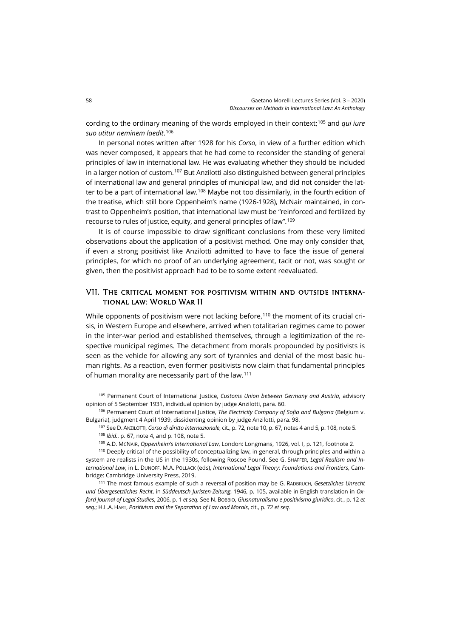cording to the ordinary meaning of the words employed in their context;[105](#page-19-0) and *qui iure suo utitur neminem laedit*. [106](#page-19-1)

In personal notes written after 1928 for his *Corso*, in view of a further edition which was never composed, it appears that he had come to reconsider the standing of general principles of law in international law. He was evaluating whether they should be included in a larger notion of custom.[107](#page-19-2) But Anzilotti also distinguished between general principles of international law and general principles of municipal law, and did not consider the lat-ter to be a part of international law.<sup>[108](#page-19-3)</sup> Maybe not too dissimilarly, in the fourth edition of the treatise, which still bore Oppenheim's name (1926-1928), McNair maintained, in contrast to Oppenheim's position, that international law must be "reinforced and fertilized by recourse to rules of justice, equity, and general principles of law". [109](#page-19-4)

It is of course impossible to draw significant conclusions from these very limited observations about the application of a positivist method. One may only consider that, if even a strong positivist like Anzilotti admitted to have to face the issue of general principles, for which no proof of an underlying agreement, tacit or not, was sought or given, then the positivist approach had to be to some extent reevaluated.

# VII. The critical moment for positivism within and outside international law: World War II

While opponents of positivism were not lacking before, [110](#page-19-5) the moment of its crucial crisis, in Western Europe and elsewhere, arrived when totalitarian regimes came to power in the inter-war period and established themselves, through a legitimization of the respective municipal regimes. The detachment from morals propounded by positivists is seen as the vehicle for allowing any sort of tyrannies and denial of the most basic human rights. As a reaction, even former positivists now claim that fundamental principles of human morality are necessarily part of the law.<sup>[111](#page-19-6)</sup>

<span id="page-19-0"></span><sup>105</sup> Permanent Court of International Justice, *Customs Union between Germany and Austria*, advisory opinion of 5 September 1931, individual opinion by judge Anzilotti, para. 60.

<span id="page-19-2"></span><span id="page-19-1"></span><sup>106</sup> Permanent Court of International Justice, *The Electricity Company of Sofia and Bulgaria* (Belgium v. Bulgaria), judgment 4 April 1939, dissidenting opinion by judge Anzilotti, para. 98.

<sup>107</sup> See D. ANZILOTTI, *Corso di diritto internazionale*, cit., p. 72, note 10, p. 67, notes 4 and 5, p. 108, note 5.

<sup>108</sup> *Ibid.*, p. 67, note 4, and p. 108, note 5.

<sup>109</sup> A.D. MCNAIR, *Oppenheim's International Law*, London: Longmans, 1926, vol. I, p. 121, footnote 2.

<span id="page-19-5"></span><span id="page-19-4"></span><span id="page-19-3"></span><sup>110</sup> Deeply critical of the possibility of conceptualizing law, in general, through principles and within a system are realists in the US in the 1930s, following Roscoe Pound. See G. SHAFFER, *Legal Realism and International Law*, in L. DUNOFF, M.A. POLLACK (eds), *International Legal Theory: Foundations and Frontiers*, Cambridge: Cambridge University Press, 2019.

<span id="page-19-6"></span><sup>111</sup> The most famous example of such a reversal of position may be G. RADBRUCH, *Gesetzliches Unrecht und Übergesetzliches Recht*, in *Süddeutsch Juristen-Zeitung*, 1946, p. 105, available in English translation in *Oxford Journal of Legal Studies*, 2006, p. 1 *et seq.* See N. BOBBIO, *Giusnaturalismo e positivismo giuridico*, cit., p. 12 *et seq.*; H.L.A. HART, *Positivism and the Separation of Law and Morals*, cit., p. 72 *et seq.*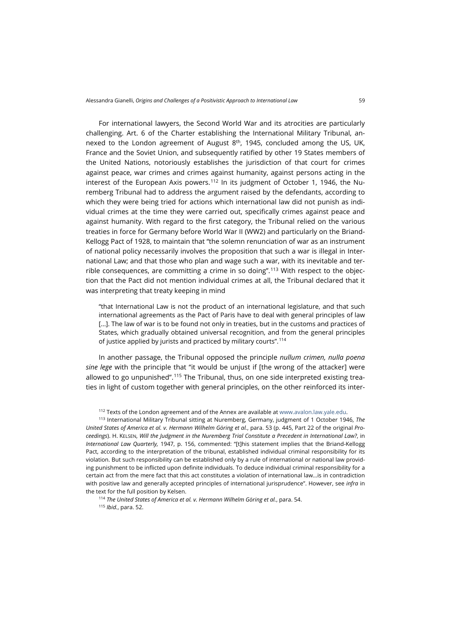For international lawyers, the Second World War and its atrocities are particularly challenging. Art. 6 of the Charter establishing the International Military Tribunal, annexed to the London agreement of August  $8<sup>th</sup>$ , 1945, concluded among the US, UK, France and the Soviet Union, and subsequently ratified by other 19 States members of the United Nations, notoriously establishes the jurisdiction of that court for crimes against peace, war crimes and crimes against humanity, against persons acting in the interest of the European Axis powers.<sup>[112](#page-20-0)</sup> In its judgment of October 1, 1946, the Nuremberg Tribunal had to address the argument raised by the defendants, according to which they were being tried for actions which international law did not punish as individual crimes at the time they were carried out, specifically crimes against peace and against humanity. With regard to the first category, the Tribunal relied on the various treaties in force for Germany before World War II (WW2) and particularly on the Briand-Kellogg Pact of 1928, to maintain that "the solemn renunciation of war as an instrument of national policy necessarily involves the proposition that such a war is illegal in International Law; and that those who plan and wage such a war, with its inevitable and ter-rible consequences, are committing a crime in so doing".<sup>[113](#page-20-1)</sup> With respect to the objection that the Pact did not mention individual crimes at all, the Tribunal declared that it was interpreting that treaty keeping in mind

"that International Law is not the product of an international legislature, and that such international agreements as the Pact of Paris have to deal with general principles of law [...]. The law of war is to be found not only in treaties, but in the customs and practices of States, which gradually obtained universal recognition, and from the general principles of justice applied by jurists and practiced by military courts".[114](#page-20-2)

In another passage, the Tribunal opposed the principle *nullum crimen, nulla poena sine lege* with the principle that "it would be unjust if [the wrong of the attacker] were allowed to go unpunished".<sup>[115](#page-20-3)</sup> The Tribunal, thus, on one side interpreted existing treaties in light of custom together with general principles, on the other reinforced its inter-

112 Texts of the London agreement and of the Annex are available a[t www.avalon.law.yale.edu.](https://avalon.law.yale.edu/imt/imtchart.asp)

<span id="page-20-1"></span><span id="page-20-0"></span><sup>113</sup> International Military Tribunal sitting at Nuremberg, Germany, judgment of 1 October 1946, *The United States of America et al. v. Hermann Wilhelm Göring et al.*, para. 53 (p. 445, Part 22 of the original *Proceedings*). H. KELSEN, *Will the Judgment in the Nuremberg Trial Constitute a Precedent in International Law?*, in *International Law Quarterly,* 1947, p. 156, commented: "[t]his statement implies that the Briand-Kellogg Pact, according to the interpretation of the tribunal, established individual criminal responsibility for its violation. But such responsibility can be established only by a rule of international or national law providing punishment to be inflicted upon definite individuals. To deduce individual criminal responsibility for a certain act from the mere fact that this act constitutes a violation of international law…is in contradiction with positive law and generally accepted principles of international jurisprudence". However, see *infra* in the text for the full position by Kelsen.

<span id="page-20-3"></span><span id="page-20-2"></span><sup>114</sup> *The United States of America et al. v. Hermann Wilhelm Göring et al.*, para. 54. <sup>115</sup> *Ibid.*, para. 52.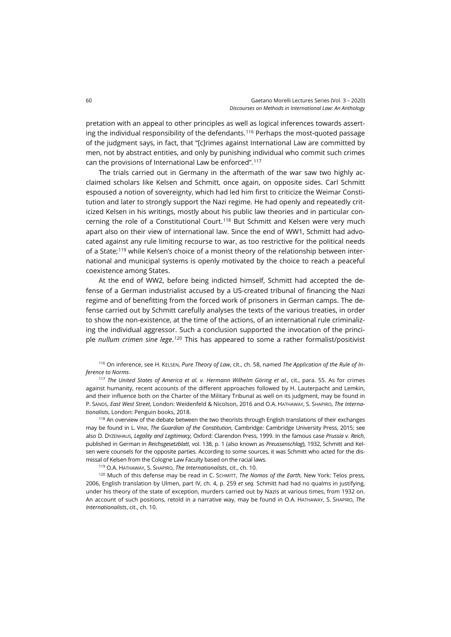pretation with an appeal to other principles as well as logical inferences towards asserting the individual responsibility of the defendants.[116](#page-21-0) Perhaps the most-quoted passage of the judgment says, in fact, that "[c]rimes against International Law are committed by men, not by abstract entities, and only by punishing individual who commit such crimes can the provisions of International Law be enforced".[117](#page-21-1)

The trials carried out in Germany in the aftermath of the war saw two highly acclaimed scholars like Kelsen and Schmitt, once again, on opposite sides. Carl Schmitt espoused a notion of sovereignty, which had led him first to criticize the Weimar Constitution and later to strongly support the Nazi regime. He had openly and repeatedly criticized Kelsen in his writings, mostly about his public law theories and in particular con-cerning the role of a Constitutional Court.<sup>[118](#page-21-2)</sup> But Schmitt and Kelsen were very much apart also on their view of international law. Since the end of WW1, Schmitt had advocated against any rule limiting recourse to war, as too restrictive for the political needs of a State;[119](#page-21-3) while Kelsen's choice of a monist theory of the relationship between international and municipal systems is openly motivated by the choice to reach a peaceful coexistence among States.

At the end of WW2, before being indicted himself, Schmitt had accepted the defense of a German industrialist accused by a US-created tribunal of financing the Nazi regime and of benefitting from the forced work of prisoners in German camps. The defense carried out by Schmitt carefully analyses the texts of the various treaties, in order to show the non-existence, at the time of the actions, of an international rule criminalizing the individual aggressor. Such a conclusion supported the invocation of the principle *nullum crimen sine lege*.<sup>[120](#page-21-4)</sup> This has appeared to some a rather formalist/positivist

<span id="page-21-0"></span><sup>116</sup> On inference, see H. KELSEN, *Pure Theory of Law*, cit., ch. 58, named *The Application of the Rule of Inference to Norms*.

<span id="page-21-1"></span><sup>117</sup> *The United States of America et al. v. Hermann Wilhelm Göring et al.*, cit., para. 55. As for crimes against humanity, recent accounts of the different approaches followed by H. Lauterpacht and Lemkin, and their influence both on the Charter of the Military Tribunal as well on its judgment, may be found in P. SANDS, *East West Street*, London: Weidenfeld & Nicolson, 2016 and O.A. HATHAWAY, S. SHAPIRO, *The Internationalists*, London: Penguin books, 2018.

<span id="page-21-2"></span><sup>118</sup> An overview of the debate between the two theorists through English translations of their exchanges may be found in L. VINX, *The Guardian of the Constitution*, Cambridge: Cambridge University Press, 2015; see also D. DYZENHAUS, *Legality and Legitimacy*, Oxford: Clarendon Press, 1999. In the famous case *Prussia v. Reich*, published in German in *Reichsgesetzblatt*, vol. 138, p. 1 (also known as *Preussenschlag*), 1932, Schmitt and Kelsen were counsels for the opposite parties. According to some sources, it was Schmitt who acted for the dismissal of Kelsen from the Cologne Law Faculty based on the racial laws.

<sup>119</sup> O.A. HATHAWAY, S. SHAPIRO, *The Internationalists*, cit., ch. 10.

<span id="page-21-4"></span><span id="page-21-3"></span><sup>120</sup> Much of this defense may be read in C. SCHMITT, *The Nomos of the Earth*, New York: Telos press, 2006, English translation by Ulmen, part IV, ch. 4, p. 259 *et seq.* Schmitt had had no qualms in justifying, under his theory of the state of exception, murders carried out by Nazis at various times, from 1932 on. An account of such positions, retold in a narrative way, may be found in O.A. HATHAWAY, S. SHAPIRO, *The Internationalists*, cit., ch. 10.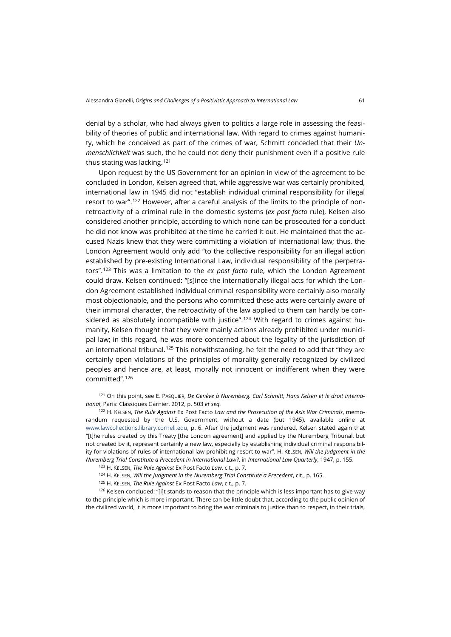denial by a scholar, who had always given to politics a large role in assessing the feasibility of theories of public and international law. With regard to crimes against humanity, which he conceived as part of the crimes of war, Schmitt conceded that their *Unmenschlichkeit* was such, the he could not deny their punishment even if a positive rule thus stating was lacking.<sup>[121](#page-22-0)</sup>

Upon request by the US Government for an opinion in view of the agreement to be concluded in London, Kelsen agreed that, while aggressive war was certainly prohibited, international law in 1945 did not "establish individual criminal responsibility for illegal resort to war".[122](#page-22-1) However, after a careful analysis of the limits to the principle of nonretroactivity of a criminal rule in the domestic systems (*ex post facto* rule), Kelsen also considered another principle, according to which none can be prosecuted for a conduct he did not know was prohibited at the time he carried it out. He maintained that the accused Nazis knew that they were committing a violation of international law; thus, the London Agreement would only add "to the collective responsibility for an illegal action established by pre-existing International Law, individual responsibility of the perpetrators".[123](#page-22-2) This was a limitation to the *ex post facto* rule, which the London Agreement could draw. Kelsen continued: "[s]ince the internationally illegal acts for which the London Agreement established individual criminal responsibility were certainly also morally most objectionable, and the persons who committed these acts were certainly aware of their immoral character, the retroactivity of the law applied to them can hardly be con-sidered as absolutely incompatible with justice".<sup>[124](#page-22-3)</sup> With regard to crimes against humanity, Kelsen thought that they were mainly actions already prohibited under municipal law; in this regard, he was more concerned about the legality of the jurisdiction of an international tribunal.[125](#page-22-4) This notwithstanding, he felt the need to add that "they are certainly open violations of the principles of morality generally recognized by civilized peoples and hence are, at least, morally not innocent or indifferent when they were committed".[126](#page-22-5)

<span id="page-22-0"></span><sup>121</sup> On this point, see E. PASQUIER, *De Genève à Nuremberg. Carl Schmitt, Hans Kelsen et le droit international*, Paris: Classiques Garnier, 2012, p. 503 *et seq.*

<span id="page-22-1"></span><sup>122</sup> H. KELSEN, *The Rule Against* Ex Post Facto *Law and the Prosecution of the Axis War Criminals*, memorandum requested by the U.S. Government, without a date (but 1945), available online at [www.lawcollections.library.cornell.edu,](http://lawcollections.library.cornell.edu/nuremberg/catalog/nur:02047) p. 6. After the judgment was rendered, Kelsen stated again that "[t]he rules created by this Treaty [the London agreement] and applied by the Nuremberg Tribunal, but not created by it, represent certainly a new law, especially by establishing individual criminal responsibility for violations of rules of international law prohibiting resort to war". H. KELSEN, *Will the Judgment in the Nuremberg Trial Constitute a Precedent in International Law?*, in *International Law Quarterly*, 1947, p. 155.

<sup>123</sup> H. KELSEN, *The Rule Against* Ex Post Facto *Law*, cit., p. 7.

<sup>124</sup> H. KELSEN, *Will the Judgment in the Nuremberg Trial Constitute a Precedent*, cit., p. 165.

<sup>125</sup> H. KELSEN, *The Rule Against* Ex Post Facto *Law*, cit., p. 7.

<span id="page-22-5"></span><span id="page-22-4"></span><span id="page-22-3"></span><span id="page-22-2"></span><sup>126</sup> Kelsen concluded: "[i]t stands to reason that the principle which is less important has to give way to the principle which is more important. There can be little doubt that, according to the public opinion of the civilized world, it is more important to bring the war criminals to justice than to respect, in their trials,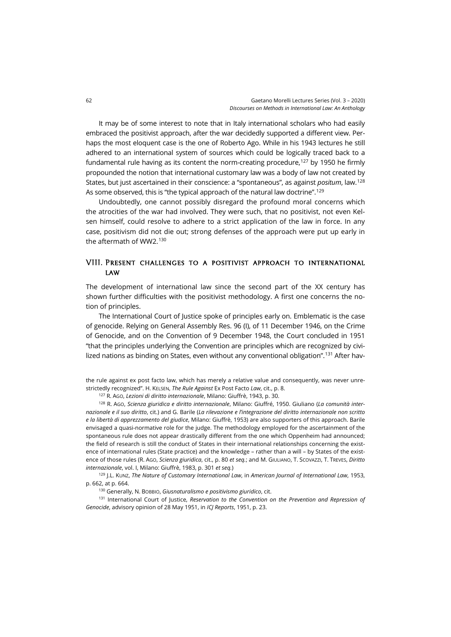It may be of some interest to note that in Italy international scholars who had easily embraced the positivist approach, after the war decidedly supported a different view. Perhaps the most eloquent case is the one of Roberto Ago. While in his 1943 lectures he still adhered to an international system of sources which could be logically traced back to a fundamental rule having as its content the norm-creating procedure,[127](#page-23-0) by 1950 he firmly propounded the notion that international customary law was a body of law not created by States, but just ascertained in their conscience: a "spontaneous", as against *positum*, law.[128](#page-23-1) As some observed, this is "the typical approach of the natural law doctrine".<sup>[129](#page-23-2)</sup>

Undoubtedly, one cannot possibly disregard the profound moral concerns which the atrocities of the war had involved. They were such, that no positivist, not even Kelsen himself, could resolve to adhere to a strict application of the law in force. In any case, positivism did not die out; strong defenses of the approach were put up early in the aftermath of WW2.[130](#page-23-3)

# VIII. Present challenges to a positivist approach to international **LAW**

The development of international law since the second part of the XX century has shown further difficulties with the positivist methodology. A first one concerns the notion of principles.

The International Court of Justice spoke of principles early on. Emblematic is the case of genocide. Relying on General Assembly Res. 96 (I), of 11 December 1946, on the Crime of Genocide, and on the Convention of 9 December 1948, the Court concluded in 1951 "that the principles underlying the Convention are principles which are recognized by civi-lized nations as binding on States, even without any conventional obligation".<sup>[131](#page-23-4)</sup> After hav-

the rule against ex post facto law, which has merely a relative value and consequently, was never unrestrictedly recognized". H. KELSEN, *The Rule Against* Ex Post Facto *Law*, cit., p. 8.

<sup>127</sup> R. AGO, *Lezioni di diritto internazionale*, Milano: Giuffrè, 1943, p. 30.

<span id="page-23-1"></span><span id="page-23-0"></span><sup>128</sup> R. AGO, *Scienza giuridica e diritto internazionale*, Milano: Giuffré, 1950. Giuliano (*La comunità internazionale e il suo diritto*, cit.) and G. Barile (*La rilevazione e l'integrazione del diritto internazionale non scritto e la libertà di apprezzamento del giudice*, Milano: Giuffrè, 1953) are also supporters of this approach. Barile envisaged a quasi-normative role for the judge. The methodology employed for the ascertainment of the spontaneous rule does not appear drastically different from the one which Oppenheim had announced; the field of research is still the conduct of States in their international relationships concerning the existence of international rules (State practice) and the knowledge – rather than a will – by States of the existence of those rules (R. AGO, *Scienza giuridica*, cit., p. 80 *et seq.*; and M. GIULIANO, T. SCOVAZZI, T. TREVES, *Diritto internazionale*, vol. I, Milano: Giuffrè, 1983, p. 301 *et seq.*)

<span id="page-23-2"></span><sup>129</sup> J.L. KUNZ, *The Nature of Customary International Law*, in *American Journal of International Law*, 1953, p. 662, at p. 664.

<sup>130</sup> Generally, N. BOBBIO, *Giusnaturalismo e positivismo giuridico*, cit.

<span id="page-23-4"></span><span id="page-23-3"></span><sup>131</sup> International Court of Justice, *Reservation to the Convention on the Prevention and Repression of Genocide*, advisory opinion of 28 May 1951, in *ICJ Reports*, 1951, p. 23.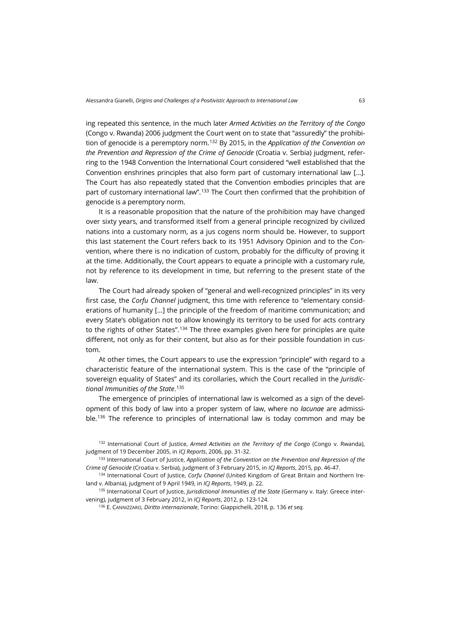ing repeated this sentence, in the much later *Armed Activities on the Territory of the Congo* (Congo v. Rwanda) 2006 judgment the Court went on to state that "assuredly" the prohibition of genocide is a peremptory norm.[132](#page-24-0) By 2015, in the *Application of the Convention on the Prevention and Repression of the Crime of Genocide* (Croatia v. Serbia) judgment, referring to the 1948 Convention the International Court considered "well established that the Convention enshrines principles that also form part of customary international law […]. The Court has also repeatedly stated that the Convention embodies principles that are part of customary international law".<sup>[133](#page-24-1)</sup> The Court then confirmed that the prohibition of genocide is a peremptory norm.

It is a reasonable proposition that the nature of the prohibition may have changed over sixty years, and transformed itself from a general principle recognized by civilized nations into a customary norm, as a jus cogens norm should be. However, to support this last statement the Court refers back to its 1951 Advisory Opinion and to the Convention, where there is no indication of custom, probably for the difficulty of proving it at the time. Additionally, the Court appears to equate a principle with a customary rule, not by reference to its development in time, but referring to the present state of the law.

The Court had already spoken of "general and well-recognized principles" in its very first case, the *Corfu Channel* judgment, this time with reference to "elementary considerations of humanity […] the principle of the freedom of maritime communication; and every State's obligation not to allow knowingly its territory to be used for acts contrary to the rights of other States".[134](#page-24-2) The three examples given here for principles are quite different, not only as for their content, but also as for their possible foundation in custom.

At other times, the Court appears to use the expression "principle" with regard to a characteristic feature of the international system. This is the case of the "principle of sovereign equality of States" and its corollaries, which the Court recalled in the *Jurisdictional Immunities of the State*. [135](#page-24-3)

The emergence of principles of international law is welcomed as a sign of the development of this body of law into a proper system of law, where no *lacunae* are admissi-ble.<sup>[136](#page-24-4)</sup> The reference to principles of international law is today common and may be

<span id="page-24-0"></span><sup>132</sup> International Court of Justice, *Armed Activities on the Territory of the Congo* (Congo v. Rwanda), judgment of 19 December 2005, in *ICJ Reports*, 2006, pp. 31-32.

<span id="page-24-1"></span><sup>133</sup> International Court of Justice, *Application of the Convention on the Prevention and Repression of the Crime of Genocide* (Croatia v. Serbia), judgment of 3 February 2015, in *ICJ Reports*, 2015, pp. 46-47.

<span id="page-24-2"></span><sup>134</sup> International Court of Justice, *Corfu Channel* (United Kingdom of Great Britain and Northern Ireland v. Albania), judgment of 9 April 1949, in *ICJ Reports*, 1949, p. 22.

<span id="page-24-4"></span><span id="page-24-3"></span><sup>135</sup> International Court of Justice, *Jurisdictional Immunities of the State* (Germany v. Italy: Greece intervening), judgment of 3 February 2012, in *ICJ Reports*, 2012, p. 123-124.

<sup>136</sup> E. CANNIZZARO, *Diritto internazionale*, Torino: Giappichelli, 2018, p. 136 *et seq.*